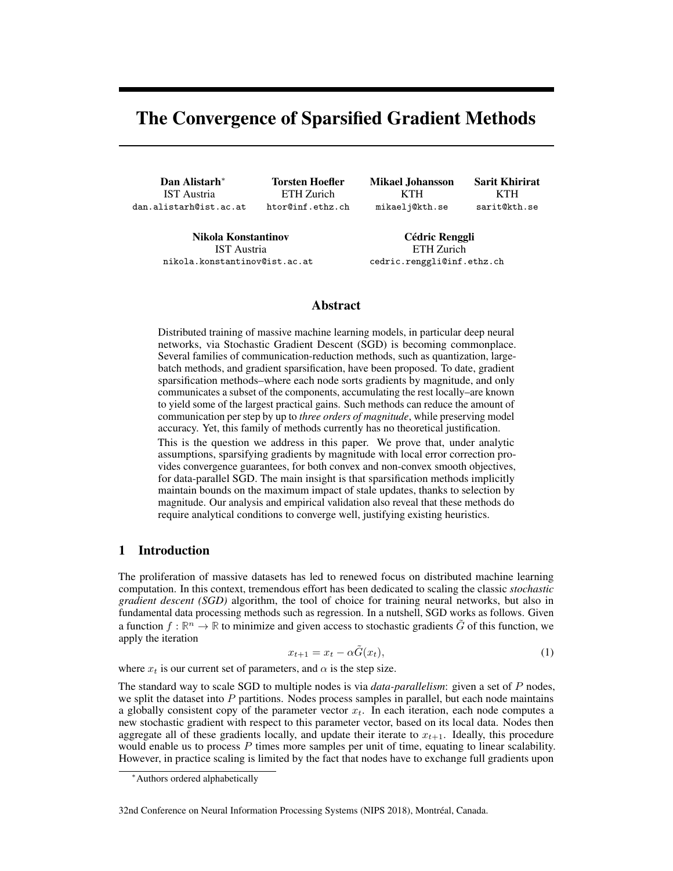# The Convergence of Sparsified Gradient Methods

Dan Alistarh<sup>∗</sup> IST Austria dan.alistarh@ist.ac.at

Torsten Hoefler ETH Zurich htor@inf.ethz.ch Mikael Johansson KTH mikaelj@kth.se

Sarit Khirirat KTH sarit@kth.se

Nikola Konstantinov IST Austria nikola.konstantinov@ist.ac.at

Cédric Renggli ETH Zurich cedric.renggli@inf.ethz.ch

## Abstract

Distributed training of massive machine learning models, in particular deep neural networks, via Stochastic Gradient Descent (SGD) is becoming commonplace. Several families of communication-reduction methods, such as quantization, largebatch methods, and gradient sparsification, have been proposed. To date, gradient sparsification methods–where each node sorts gradients by magnitude, and only communicates a subset of the components, accumulating the rest locally–are known to yield some of the largest practical gains. Such methods can reduce the amount of communication per step by up to *three orders of magnitude*, while preserving model accuracy. Yet, this family of methods currently has no theoretical justification.

This is the question we address in this paper. We prove that, under analytic assumptions, sparsifying gradients by magnitude with local error correction provides convergence guarantees, for both convex and non-convex smooth objectives, for data-parallel SGD. The main insight is that sparsification methods implicitly maintain bounds on the maximum impact of stale updates, thanks to selection by magnitude. Our analysis and empirical validation also reveal that these methods do require analytical conditions to converge well, justifying existing heuristics.

## 1 Introduction

The proliferation of massive datasets has led to renewed focus on distributed machine learning computation. In this context, tremendous effort has been dedicated to scaling the classic *stochastic gradient descent (SGD)* algorithm, the tool of choice for training neural networks, but also in fundamental data processing methods such as regression. In a nutshell, SGD works as follows. Given a function  $f : \mathbb{R}^n \to \mathbb{R}$  to minimize and given access to stochastic gradients  $\tilde{G}$  of this function, we apply the iteration

<span id="page-0-0"></span>
$$
x_{t+1} = x_t - \alpha \tilde{G}(x_t), \tag{1}
$$

where  $x_t$  is our current set of parameters, and  $\alpha$  is the step size.

The standard way to scale SGD to multiple nodes is via *data-parallelism*: given a set of P nodes, we split the dataset into  $P$  partitions. Nodes process samples in parallel, but each node maintains a globally consistent copy of the parameter vector  $x_t$ . In each iteration, each node computes a new stochastic gradient with respect to this parameter vector, based on its local data. Nodes then aggregate all of these gradients locally, and update their iterate to  $x_{t+1}$ . Ideally, this procedure would enable us to process P times more samples per unit of time, equating to linear scalability. However, in practice scaling is limited by the fact that nodes have to exchange full gradients upon

#### 32nd Conference on Neural Information Processing Systems (NIPS 2018), Montréal, Canada.

<sup>∗</sup>Authors ordered alphabetically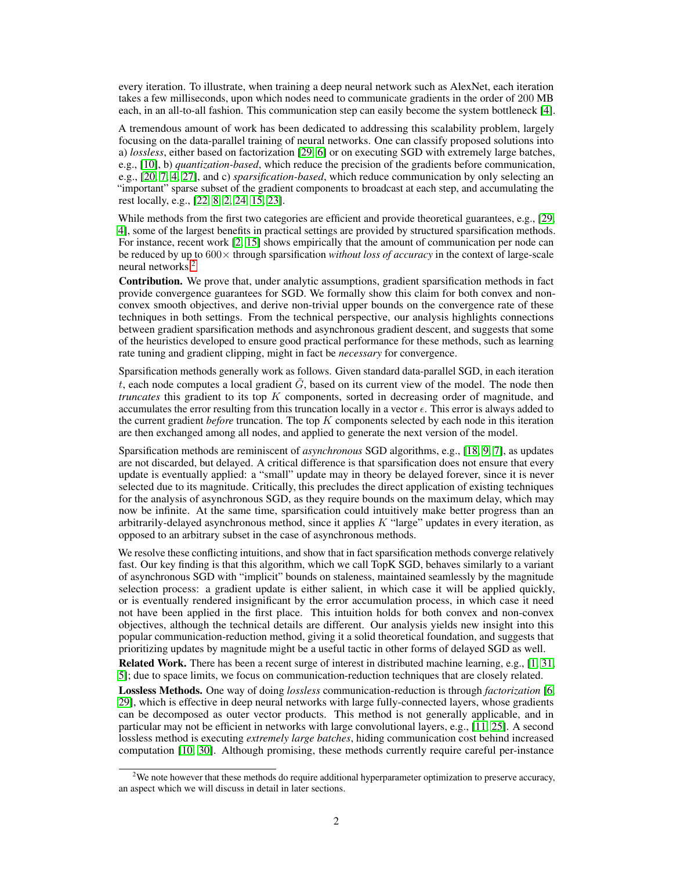every iteration. To illustrate, when training a deep neural network such as AlexNet, each iteration takes a few milliseconds, upon which nodes need to communicate gradients in the order of 200 MB each, in an all-to-all fashion. This communication step can easily become the system bottleneck [\[4\]](#page-9-0).

A tremendous amount of work has been dedicated to addressing this scalability problem, largely focusing on the data-parallel training of neural networks. One can classify proposed solutions into a) *lossless*, either based on factorization [\[29,](#page-10-0) [6\]](#page-9-1) or on executing SGD with extremely large batches, e.g., [\[10\]](#page-9-2), b) *quantization-based*, which reduce the precision of the gradients before communication, e.g., [\[20,](#page-9-3) [7,](#page-9-4) [4,](#page-9-0) [27\]](#page-10-1), and c) *sparsification-based*, which reduce communication by only selecting an "important" sparse subset of the gradient components to broadcast at each step, and accumulating the rest locally, e.g., [\[22,](#page-10-2) [8,](#page-9-5) [2,](#page-9-6) [24,](#page-10-3) [15,](#page-9-7) [23\]](#page-10-4).

While methods from the first two categories are efficient and provide theoretical guarantees, e.g., [\[29,](#page-10-0)] [4\]](#page-9-0), some of the largest benefits in practical settings are provided by structured sparsification methods. For instance, recent work [\[2,](#page-9-6) [15\]](#page-9-7) shows empirically that the amount of communication per node can be reduced by up to 600× through sparsification *without loss of accuracy* in the context of large-scale neural networks.[2](#page-1-0)

Contribution. We prove that, under analytic assumptions, gradient sparsification methods in fact provide convergence guarantees for SGD. We formally show this claim for both convex and nonconvex smooth objectives, and derive non-trivial upper bounds on the convergence rate of these techniques in both settings. From the technical perspective, our analysis highlights connections between gradient sparsification methods and asynchronous gradient descent, and suggests that some of the heuristics developed to ensure good practical performance for these methods, such as learning rate tuning and gradient clipping, might in fact be *necessary* for convergence.

Sparsification methods generally work as follows. Given standard data-parallel SGD, in each iteration t, each node computes a local gradient  $\tilde{G}$ , based on its current view of the model. The node then *truncates* this gradient to its top K components, sorted in decreasing order of magnitude, and accumulates the error resulting from this truncation locally in a vector  $\epsilon$ . This error is always added to the current gradient *before* truncation. The top K components selected by each node in this iteration are then exchanged among all nodes, and applied to generate the next version of the model.

Sparsification methods are reminiscent of *asynchronous* SGD algorithms, e.g., [\[18,](#page-9-8) [9,](#page-9-9) [7\]](#page-9-4), as updates are not discarded, but delayed. A critical difference is that sparsification does not ensure that every update is eventually applied: a "small" update may in theory be delayed forever, since it is never selected due to its magnitude. Critically, this precludes the direct application of existing techniques for the analysis of asynchronous SGD, as they require bounds on the maximum delay, which may now be infinite. At the same time, sparsification could intuitively make better progress than an arbitrarily-delayed asynchronous method, since it applies  $K$  "large" updates in every iteration, as opposed to an arbitrary subset in the case of asynchronous methods.

We resolve these conflicting intuitions, and show that in fact sparsification methods converge relatively fast. Our key finding is that this algorithm, which we call TopK SGD, behaves similarly to a variant of asynchronous SGD with "implicit" bounds on staleness, maintained seamlessly by the magnitude selection process: a gradient update is either salient, in which case it will be applied quickly, or is eventually rendered insignificant by the error accumulation process, in which case it need not have been applied in the first place. This intuition holds for both convex and non-convex objectives, although the technical details are different. Our analysis yields new insight into this popular communication-reduction method, giving it a solid theoretical foundation, and suggests that prioritizing updates by magnitude might be a useful tactic in other forms of delayed SGD as well.

Related Work. There has been a recent surge of interest in distributed machine learning, e.g., [\[1,](#page-8-0) [31,](#page-10-5) [5\]](#page-9-10); due to space limits, we focus on communication-reduction techniques that are closely related.

Lossless Methods. One way of doing *lossless* communication-reduction is through *factorization* [\[6,](#page-9-1) [29\]](#page-10-0), which is effective in deep neural networks with large fully-connected layers, whose gradients can be decomposed as outer vector products. This method is not generally applicable, and in particular may not be efficient in networks with large convolutional layers, e.g., [\[11,](#page-9-11) [25\]](#page-10-6). A second lossless method is executing *extremely large batches*, hiding communication cost behind increased computation [\[10,](#page-9-2) [30\]](#page-10-7). Although promising, these methods currently require careful per-instance

<span id="page-1-0"></span><sup>&</sup>lt;sup>2</sup>We note however that these methods do require additional hyperparameter optimization to preserve accuracy, an aspect which we will discuss in detail in later sections.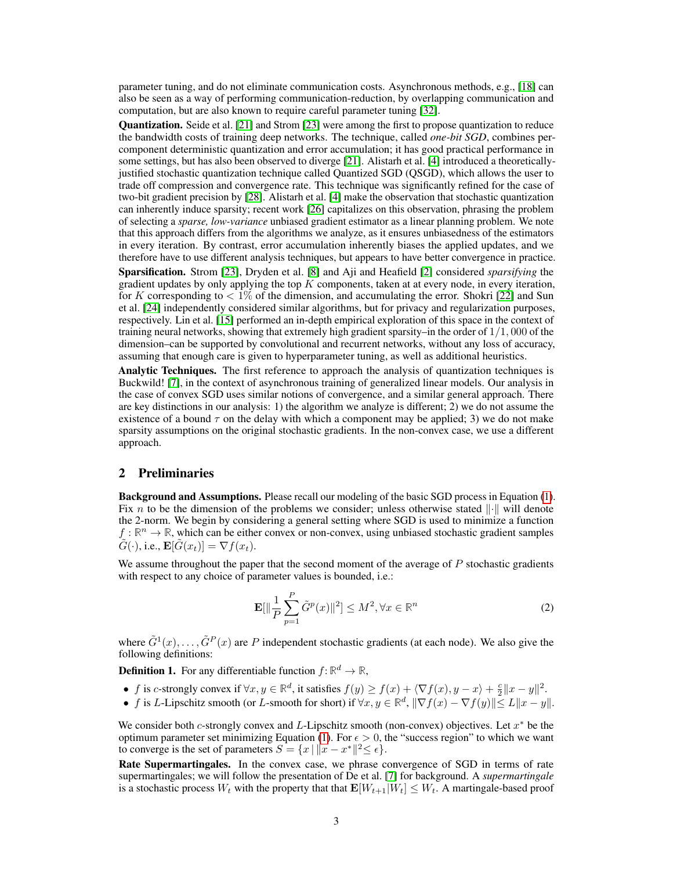parameter tuning, and do not eliminate communication costs. Asynchronous methods, e.g., [\[18\]](#page-9-8) can also be seen as a way of performing communication-reduction, by overlapping communication and computation, but are also known to require careful parameter tuning [\[32\]](#page-10-8).

Quantization. Seide et al. [\[21\]](#page-9-12) and Strom [\[23\]](#page-10-4) were among the first to propose quantization to reduce the bandwidth costs of training deep networks. The technique, called *one-bit SGD*, combines percomponent deterministic quantization and error accumulation; it has good practical performance in some settings, but has also been observed to diverge [\[21\]](#page-9-12). Alistarh et al. [\[4\]](#page-9-0) introduced a theoreticallyjustified stochastic quantization technique called Quantized SGD (QSGD), which allows the user to trade off compression and convergence rate. This technique was significantly refined for the case of two-bit gradient precision by [\[28\]](#page-10-9). Alistarh et al. [\[4\]](#page-9-0) make the observation that stochastic quantization can inherently induce sparsity; recent work [\[26\]](#page-10-10) capitalizes on this observation, phrasing the problem of selecting a *sparse, low-variance* unbiased gradient estimator as a linear planning problem. We note that this approach differs from the algorithms we analyze, as it ensures unbiasedness of the estimators in every iteration. By contrast, error accumulation inherently biases the applied updates, and we therefore have to use different analysis techniques, but appears to have better convergence in practice.

Sparsification. Strom [\[23\]](#page-10-4), Dryden et al. [\[8\]](#page-9-5) and Aji and Heafield [\[2\]](#page-9-6) considered *sparsifying* the gradient updates by only applying the top  $K$  components, taken at at every node, in every iteration, for K corresponding to  $\lt 1\%$  of the dimension, and accumulating the error. Shokri [\[22\]](#page-10-2) and Sun et al. [\[24\]](#page-10-3) independently considered similar algorithms, but for privacy and regularization purposes, respectively. Lin et al. [\[15\]](#page-9-7) performed an in-depth empirical exploration of this space in the context of training neural networks, showing that extremely high gradient sparsity–in the order of  $1/1$ , 000 of the dimension–can be supported by convolutional and recurrent networks, without any loss of accuracy, assuming that enough care is given to hyperparameter tuning, as well as additional heuristics.

Analytic Techniques. The first reference to approach the analysis of quantization techniques is Buckwild! [\[7\]](#page-9-4), in the context of asynchronous training of generalized linear models. Our analysis in the case of convex SGD uses similar notions of convergence, and a similar general approach. There are key distinctions in our analysis: 1) the algorithm we analyze is different; 2) we do not assume the existence of a bound  $\tau$  on the delay with which a component may be applied; 3) we do not make sparsity assumptions on the original stochastic gradients. In the non-convex case, we use a different approach.

#### 2 Preliminaries

Background and Assumptions. Please recall our modeling of the basic SGD process in Equation [\(1\)](#page-0-0). Fix n to be the dimension of the problems we consider; unless otherwise stated  $\|\cdot\|$  will denote the 2-norm. We begin by considering a general setting where SGD is used to minimize a function  $f : \mathbb{R}^n \to \mathbb{R}$ , which can be either convex or non-convex, using unbiased stochastic gradient samples  $\tilde{G}(\cdot)$ , i.e.,  $\mathbf{E}[\tilde{G}(x_t)] = \nabla f(x_t)$ .

We assume throughout the paper that the second moment of the average of  $P$  stochastic gradients with respect to any choice of parameter values is bounded, *i.e.*:

<span id="page-2-0"></span>
$$
\mathbf{E}[\|\frac{1}{P}\sum_{p=1}^{P}\tilde{G}^{p}(x)\|^{2}] \leq M^{2}, \forall x \in \mathbb{R}^{n}
$$
 (2)

where  $\tilde{G}^1(x), \ldots, \tilde{G}^P(x)$  are P independent stochastic gradients (at each node). We also give the following definitions:

**Definition 1.** For any differentiable function  $f: \mathbb{R}^d \to \mathbb{R}$ ,

- f is c-strongly convex if  $\forall x, y \in \mathbb{R}^d$ , it satisfies  $f(y) \ge f(x) + \langle \nabla f(x), y x \rangle + \frac{c}{2} ||x y||^2$ .
- f is L-Lipschitz smooth (or L-smooth for short) if  $\forall x, y \in \mathbb{R}^d$ ,  $\|\nabla f(x) \nabla f(y)\| \le L \|x y\|$ .

We consider both c-strongly convex and L-Lipschitz smooth (non-convex) objectives. Let  $x^*$  be the optimum parameter set minimizing Equation [\(1\)](#page-0-0). For  $\epsilon > 0$ , the "success region" to which we want to converge is the set of parameters  $S = \{x \mid ||x - x^*||^2 \le \epsilon\}.$ 

Rate Supermartingales. In the convex case, we phrase convergence of SGD in terms of rate supermartingales; we will follow the presentation of De et al. [\[7\]](#page-9-4) for background. A *supermartingale* is a stochastic process  $W_t$  with the property that that  $\mathbf{E}[W_{t+1}|\tilde{W}_t] \leq W_t$ . A martingale-based proof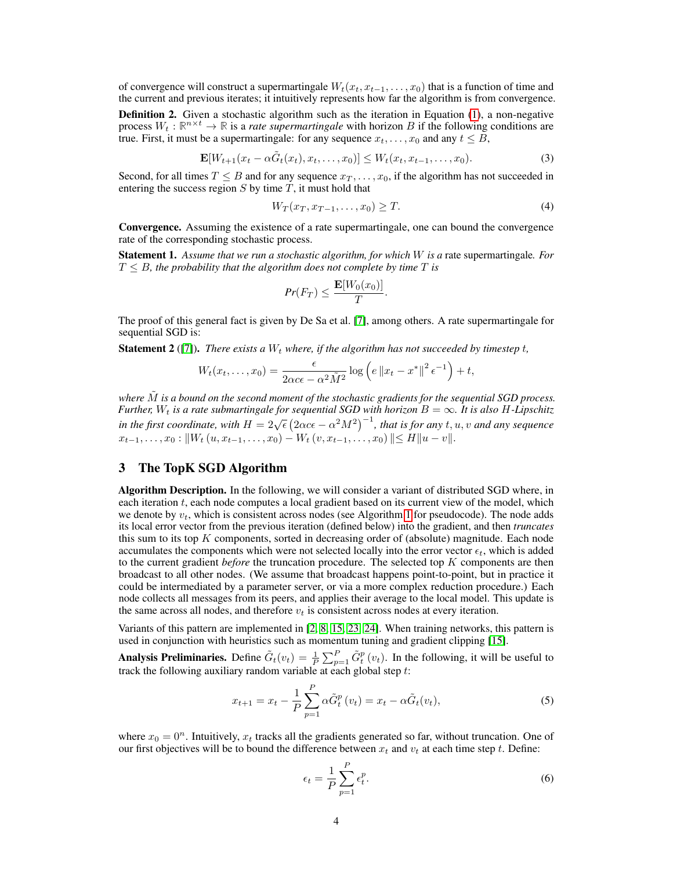of convergence will construct a supermartingale  $W_t(x_t, x_{t-1}, \ldots, x_0)$  that is a function of time and the current and previous iterates; it intuitively represents how far the algorithm is from convergence.

Definition 2. Given a stochastic algorithm such as the iteration in Equation [\(1\)](#page-0-0), a non-negative process  $W_t : \mathbb{R}^{n \times t} \to \mathbb{R}$  is a *rate supermartingale* with horizon B if the following conditions are true. First, it must be a supermartingale: for any sequence  $x_t, \ldots, x_0$  and any  $t \leq B$ ,

$$
\mathbf{E}[W_{t+1}(x_t - \alpha \tilde{G}_t(x_t), x_t, \dots, x_0)] \le W_t(x_t, x_{t-1}, \dots, x_0). \tag{3}
$$

Second, for all times  $T \leq B$  and for any sequence  $x_T, \ldots, x_0$ , if the algorithm has not succeeded in entering the success region  $S$  by time  $T$ , it must hold that

$$
W_T(x_T, x_{T-1}, \dots, x_0) \ge T. \tag{4}
$$

Convergence. Assuming the existence of a rate supermartingale, one can bound the convergence rate of the corresponding stochastic process.

Statement 1. *Assume that we run a stochastic algorithm, for which* W *is a* rate supermartingale*. For*  $T \leq B$ , the probability that the algorithm does not complete by time  $T$  is

$$
Pr(F_T) \le \frac{\mathbf{E}[W_0(x_0)]}{T}.
$$

The proof of this general fact is given by De Sa et al. [\[7\]](#page-9-4), among others. A rate supermartingale for sequential SGD is:

<span id="page-3-0"></span>**Statement 2** ([\[7\]](#page-9-4)). *There exists a*  $W_t$  *where, if the algorithm has not succeeded by timestep t,* 

$$
W_t(x_t,\ldots,x_0)=\frac{\epsilon}{2\alpha c\epsilon-\alpha^2\tilde{M}^2}\log\left(e\left\|x_t-x^*\right\|^2\epsilon^{-1}\right)+t,
$$

*where* M˜ *is a bound on the second moment of the stochastic gradients for the sequential SGD process. Further,*  $W_t$  *is a rate submartingale for sequential SGD with horizon*  $B = \infty$ *. It is also H-Lipschitz i at the*,  $W_t$  is a rate submaringate for sequential 50D with horizon  $D = \infty$ . It is also 11 Eqs. thughtarrow in the first coordinate, with  $H = 2\sqrt{\epsilon} (2\alpha c \epsilon - \alpha^2 M^2)^{-1}$ , that is for any  $t, u, v$  and any sequence  $x_{t-1}, \ldots, x_0 : ||W_t(u, x_{t-1}, \ldots, x_0) - W_t(v, x_{t-1}, \ldots, x_0)|| \le H||u - v||.$ 

# 3 The TopK SGD Algorithm

Algorithm Description. In the following, we will consider a variant of distributed SGD where, in each iteration t, each node computes a local gradient based on its current view of the model, which we denote by  $v_t$ , which is consistent across nodes (see Algorithm [1](#page-4-0) for pseudocode). The node adds its local error vector from the previous iteration (defined below) into the gradient, and then *truncates* this sum to its top  $K$  components, sorted in decreasing order of (absolute) magnitude. Each node accumulates the components which were not selected locally into the error vector  $\epsilon_t$ , which is added to the current gradient *before* the truncation procedure. The selected top K components are then broadcast to all other nodes. (We assume that broadcast happens point-to-point, but in practice it could be intermediated by a parameter server, or via a more complex reduction procedure.) Each node collects all messages from its peers, and applies their average to the local model. This update is the same across all nodes, and therefore  $v_t$  is consistent across nodes at every iteration.

Variants of this pattern are implemented in [\[2,](#page-9-6) [8,](#page-9-5) [15,](#page-9-7) [23,](#page-10-4) [24\]](#page-10-3). When training networks, this pattern is used in conjunction with heuristics such as momentum tuning and gradient clipping [\[15\]](#page-9-7).

Analysis Preliminaries. Define  $\tilde{G}_t(v_t) = \frac{1}{P} \sum_{p=1}^P \tilde{G}_t^p(v_t)$ . In the following, it will be useful to track the following auxiliary random variable at each global step  $t$ :

$$
x_{t+1} = x_t - \frac{1}{P} \sum_{p=1}^{P} \alpha \tilde{G}_t^p(v_t) = x_t - \alpha \tilde{G}_t(v_t),
$$
\n(5)

where  $x_0 = 0^n$ . Intuitively,  $x_t$  tracks all the gradients generated so far, without truncation. One of our first objectives will be to bound the difference between  $x_t$  and  $v_t$  at each time step t. Define:

$$
\epsilon_t = \frac{1}{P} \sum_{p=1}^{P} \epsilon_t^p.
$$
\n(6)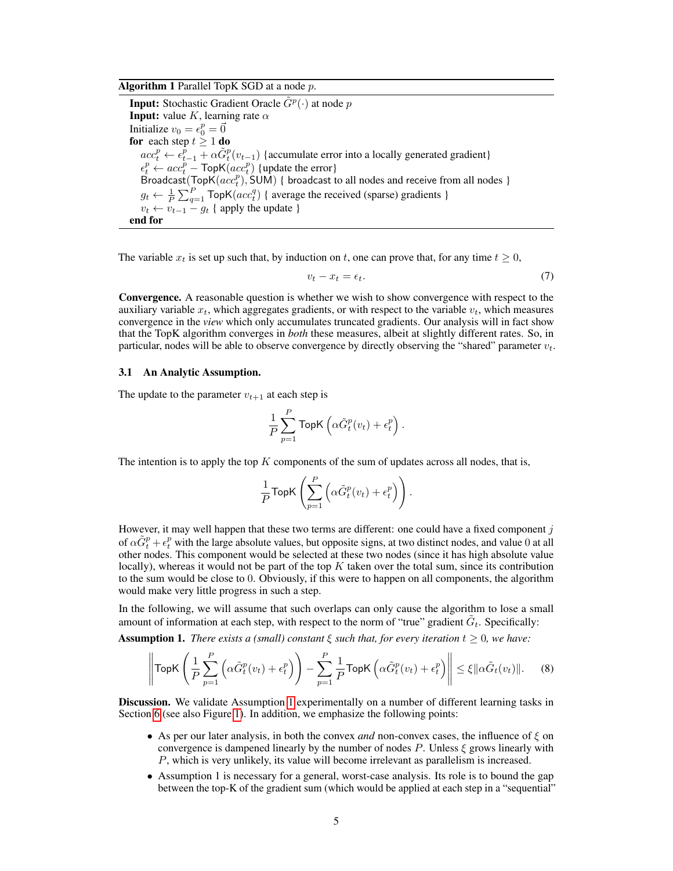Algorithm 1 Parallel TopK SGD at a node  $p$ .

<span id="page-4-0"></span>**Input:** Stochastic Gradient Oracle  $\tilde{G}^p(\cdot)$  at node p **Input:** value K, learning rate  $\alpha$ Initialize  $v_0 = \epsilon_0^p = \vec{0}$ for each step  $t \geq 1$  do  $acc_t^p \leftarrow \epsilon_{t-1}^p + \alpha \tilde{G}_t^p(v_{t-1})$  {accumulate error into a locally generated gradient}  $\epsilon_t^p \leftarrow acc_t^p$  – TopK $(ac_t^p)$  {update the error} Broadcast(TopK $(ac_t^p)$ , SUM) { broadcast to all nodes and receive from all nodes }  $g_t \leftarrow \frac{1}{P} \sum_{q=1}^{P} \text{TopK}(acc_t^q)$  { average the received (sparse) gradients }  $v_t \leftarrow v_{t-1} - g_t$  { apply the update } end for

The variable  $x_t$  is set up such that, by induction on t, one can prove that, for any time  $t \geq 0$ ,

<span id="page-4-3"></span>
$$
v_t - x_t = \epsilon_t. \tag{7}
$$

Convergence. A reasonable question is whether we wish to show convergence with respect to the auxiliary variable  $x_t$ , which aggregates gradients, or with respect to the variable  $v_t$ , which measures convergence in the *view* which only accumulates truncated gradients. Our analysis will in fact show that the TopK algorithm converges in *both* these measures, albeit at slightly different rates. So, in particular, nodes will be able to observe convergence by directly observing the "shared" parameter  $v_t$ .

#### 3.1 An Analytic Assumption.

The update to the parameter  $v_{t+1}$  at each step is

$$
\frac{1}{P}\sum_{p=1}^P\textsf{TopK}\left(\alpha\tilde{G}_t^p(v_t)+\epsilon_t^p\right).
$$

The intention is to apply the top  $K$  components of the sum of updates across all nodes, that is,

<span id="page-4-2"></span>
$$
\frac{1}{P} \text{TopK}\left(\sum_{p=1}^P \left(\alpha \tilde{G}_t^p(v_t) + \epsilon_t^p\right)\right).
$$

However, it may well happen that these two terms are different: one could have a fixed component  $j$ of  $\alpha \tilde{G}_t^p + \epsilon_t^p$  with the large absolute values, but opposite signs, at two distinct nodes, and value 0 at all other nodes. This component would be selected at these two nodes (since it has high absolute value locally), whereas it would not be part of the top  $K$  taken over the total sum, since its contribution to the sum would be close to 0. Obviously, if this were to happen on all components, the algorithm would make very little progress in such a step.

<span id="page-4-1"></span>In the following, we will assume that such overlaps can only cause the algorithm to lose a small amount of information at each step, with respect to the norm of "true" gradient  $\tilde{G}_t$ . Specifically: **Assumption 1.** *There exists a (small) constant*  $\xi$  *such that, for every iteration*  $t > 0$ *, we have:* 

$$
\left\|\text{TopK}\left(\frac{1}{P}\sum_{p=1}^{P}\left(\alpha\tilde{G}_{t}^{p}(v_{t})+\epsilon_{t}^{p}\right)\right)-\sum_{p=1}^{P}\frac{1}{P}\text{TopK}\left(\alpha\tilde{G}_{t}^{p}(v_{t})+\epsilon_{t}^{p}\right)\right\| \leq \xi\|\alpha\tilde{G}_{t}(v_{t})\|.\tag{8}
$$

**Discussion.** We validate Assumption [1](#page-4-1) experimentally on a number of different learning tasks in Section [6](#page-7-0) (see also Figure [1\)](#page-7-1). In addition, we emphasize the following points:

- As per our later analysis, in both the convex *and* non-convex cases, the influence of  $\xi$  on convergence is dampened linearly by the number of nodes P. Unless  $\xi$  grows linearly with P, which is very unlikely, its value will become irrelevant as parallelism is increased.
- Assumption 1 is necessary for a general, worst-case analysis. Its role is to bound the gap between the top-K of the gradient sum (which would be applied at each step in a "sequential"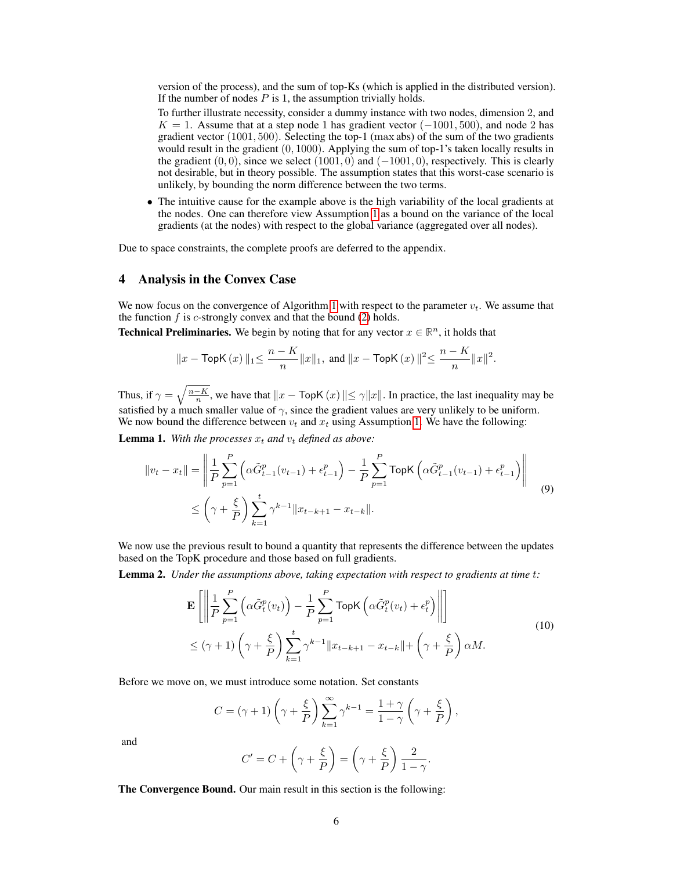version of the process), and the sum of top-Ks (which is applied in the distributed version). If the number of nodes  $P$  is 1, the assumption trivially holds.

To further illustrate necessity, consider a dummy instance with two nodes, dimension 2, and  $K = 1$ . Assume that at a step node 1 has gradient vector ( $-1001, 500$ ), and node 2 has gradient vector  $(1001, 500)$ . Selecting the top-1 (max abs) of the sum of the two gradients would result in the gradient  $(0, 1000)$ . Applying the sum of top-1's taken locally results in the gradient  $(0, 0)$ , since we select  $(1001, 0)$  and  $(-1001, 0)$ , respectively. This is clearly not desirable, but in theory possible. The assumption states that this worst-case scenario is unlikely, by bounding the norm difference between the two terms.

• The intuitive cause for the example above is the high variability of the local gradients at the nodes. One can therefore view Assumption [1](#page-4-1) as a bound on the variance of the local gradients (at the nodes) with respect to the global variance (aggregated over all nodes).

Due to space constraints, the complete proofs are deferred to the appendix.

### 4 Analysis in the Convex Case

We now focus on the convergence of Algorithm [1](#page-4-0) with respect to the parameter  $v_t$ . We assume that the function  $f$  is  $c$ -strongly convex and that the bound [\(2\)](#page-2-0) holds.

**Technical Preliminaries.** We begin by noting that for any vector  $x \in \mathbb{R}^n$ , it holds that

$$
||x - \text{TopK}(x)||_1 \le \frac{n - K}{n} ||x||_1
$$
, and  $||x - \text{TopK}(x)||^2 \le \frac{n - K}{n} ||x||^2$ .

Thus, if  $\gamma = \sqrt{\frac{n-K}{n}}$ , we have that  $||x - \text{TopK}(x)|| \le \gamma ||x||$ . In practice, the last inequality may be satisfied by a much smaller value of  $\gamma$ , since the gradient values are very unlikely to be uniform. We now bound the difference between  $v_t$  and  $x_t$  using Assumption [1.](#page-4-1) We have the following:

<span id="page-5-0"></span>**Lemma 1.** With the processes  $x_t$  and  $v_t$  defined as above:

$$
||v_t - x_t|| = \left\| \frac{1}{P} \sum_{p=1}^P \left( \alpha \tilde{G}_{t-1}^p(v_{t-1}) + \epsilon_{t-1}^p \right) - \frac{1}{P} \sum_{p=1}^P \text{TopK} \left( \alpha \tilde{G}_{t-1}^p(v_{t-1}) + \epsilon_{t-1}^p \right) \right\|
$$
  
 
$$
\leq \left( \gamma + \frac{\xi}{P} \right) \sum_{k=1}^t \gamma^{k-1} ||x_{t-k+1} - x_{t-k}||.
$$
 (9)

We now use the previous result to bound a quantity that represents the difference between the updates based on the TopK procedure and those based on full gradients.

Lemma 2. *Under the assumptions above, taking expectation with respect to gradients at time* t*:*

$$
\mathbf{E}\left[\left\|\frac{1}{P}\sum_{p=1}^{P}\left(\alpha\tilde{G}_{t}^{p}(v_{t})\right)-\frac{1}{P}\sum_{p=1}^{P}\text{TopK}\left(\alpha\tilde{G}_{t}^{p}(v_{t})+\epsilon_{t}^{p}\right)\right\|\right]
$$
\n
$$
\leq (\gamma+1)\left(\gamma+\frac{\xi}{P}\right)\sum_{k=1}^{t}\gamma^{k-1}\|x_{t-k+1}-x_{t-k}\|+\left(\gamma+\frac{\xi}{P}\right)\alpha M.\tag{10}
$$

Before we move on, we must introduce some notation. Set constants

$$
C = (\gamma + 1) \left(\gamma + \frac{\xi}{P}\right) \sum_{k=1}^{\infty} \gamma^{k-1} = \frac{1+\gamma}{1-\gamma} \left(\gamma + \frac{\xi}{P}\right),
$$

and

$$
C' = C + \left(\gamma + \frac{\xi}{P}\right) = \left(\gamma + \frac{\xi}{P}\right) \frac{2}{1 - \gamma}.
$$

The Convergence Bound. Our main result in this section is the following: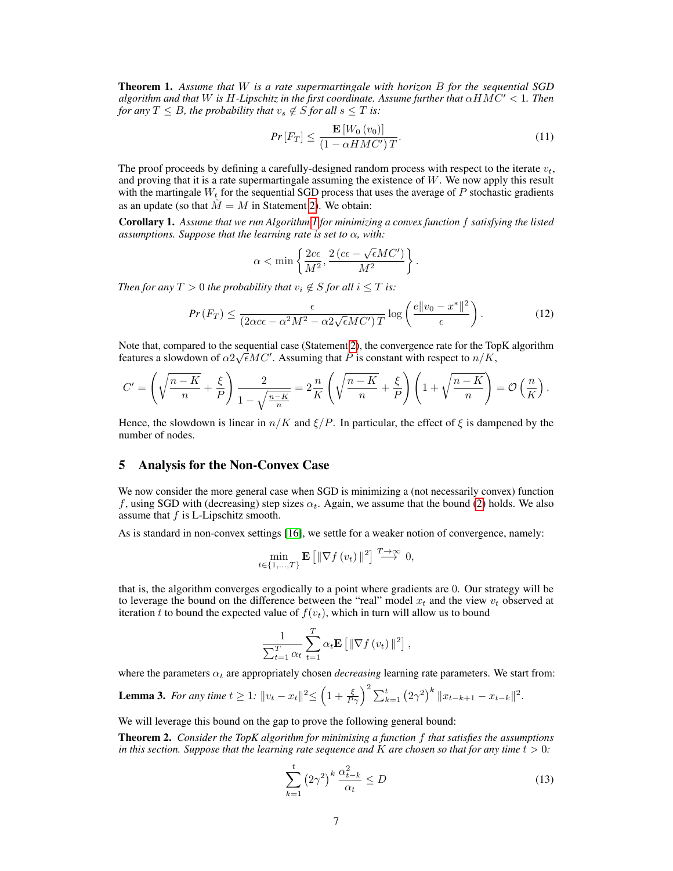Theorem 1. *Assume that* W *is a rate supermartingale with horizon* B *for the sequential SGD algorithm and that* W *is* H-Lipschitz in the first coordinate. Assume further that  $\alpha HMC' < 1$ . Then *for any*  $T \leq B$ *, the probability that*  $v_s \notin S$  *for all*  $s \leq T$  *is:* 

$$
Pr\left[F_T\right] \le \frac{\mathbf{E}\left[W_0\left(v_0\right)\right]}{\left(1 - \alpha H M C'\right) T}.\tag{11}
$$

The proof proceeds by defining a carefully-designed random process with respect to the iterate  $v_t$ , and proving that it is a rate supermartingale assuming the existence of W. We now apply this result with the martingale  $W_t$  for the sequential SGD process that uses the average of  $P$  stochastic gradients as an update (so that  $M = M$  in Statement [2\)](#page-3-0). We obtain:

Corollary 1. *Assume that we run Algorithm [1](#page-4-0) for minimizing a convex function* f *satisfying the listed assumptions. Suppose that the learning rate is set to* α*, with:*

$$
\alpha < \min \left\{ \frac{2c\epsilon}{M^2}, \frac{2 \left(c\epsilon - \sqrt{\epsilon}MC' \right)}{M^2} \right\}.
$$

*Then for any*  $T > 0$  *the probability that*  $v_i \notin S$  *for all*  $i \leq T$  *is:* 

$$
Pr(F_T) \le \frac{\epsilon}{(2\alpha c\epsilon - \alpha^2 M^2 - \alpha^2 \sqrt{\epsilon}MC')T} \log\left(\frac{e||v_0 - x^*||^2}{\epsilon}\right). \tag{12}
$$

Note that, compared to the sequential case (Statement [2\)](#page-3-0), the convergence rate for the TopK algorithm features a slowdown of  $\alpha 2\sqrt{\epsilon}MC'$ . Assuming that P is constant with respect to  $n/K$ ,

$$
C' = \left(\sqrt{\frac{n-K}{n}} + \frac{\xi}{P}\right) \frac{2}{1 - \sqrt{\frac{n-K}{n}}} = 2\frac{n}{K} \left(\sqrt{\frac{n-K}{n}} + \frac{\xi}{P}\right) \left(1 + \sqrt{\frac{n-K}{n}}\right) = \mathcal{O}\left(\frac{n}{K}\right).
$$

Hence, the slowdown is linear in  $n/K$  and  $\xi/P$ . In particular, the effect of  $\xi$  is dampened by the number of nodes.

# 5 Analysis for the Non-Convex Case

We now consider the more general case when SGD is minimizing a (not necessarily convex) function f, using SGD with (decreasing) step sizes  $\alpha_t$ . Again, we assume that the bound [\(2\)](#page-2-0) holds. We also assume that f is L-Lipschitz smooth.

As is standard in non-convex settings [\[16\]](#page-9-13), we settle for a weaker notion of convergence, namely:

$$
\min_{t \in \{1, ..., T\}} \mathbf{E} \left[ \|\nabla f(v_t)\|^2 \right] \stackrel{T \to \infty}{\longrightarrow} 0,
$$

that is, the algorithm converges ergodically to a point where gradients are 0. Our strategy will be to leverage the bound on the difference between the "real" model  $x_t$  and the view  $v_t$  observed at iteration t to bound the expected value of  $f(v_t)$ , which in turn will allow us to bound

$$
\frac{1}{\sum_{t=1}^{T} \alpha_t} \sum_{t=1}^{T} \alpha_t \mathbf{E} \left[ \|\nabla f(v_t)\|^2 \right],
$$

where the parameters  $\alpha_t$  are appropriately chosen *decreasing* learning rate parameters. We start from:

**Lemma 3.** For any time  $t \geq 1$ :  $||v_t - x_t||^2 \leq \left(1 + \frac{\xi}{P\gamma}\right)^2 \sum_{k=1}^t (2\gamma^2)^k ||x_{t-k+1} - x_{t-k}||^2$ .

We will leverage this bound on the gap to prove the following general bound:

<span id="page-6-1"></span>Theorem 2. *Consider the TopK algorithm for minimising a function* f *that satisfies the assumptions in this section. Suppose that the learning rate sequence and*  $K$  *are chosen so that for any time*  $t > 0$ *:* 

<span id="page-6-0"></span>
$$
\sum_{k=1}^{t} \left(2\gamma^2\right)^k \frac{\alpha_{t-k}^2}{\alpha_t} \le D \tag{13}
$$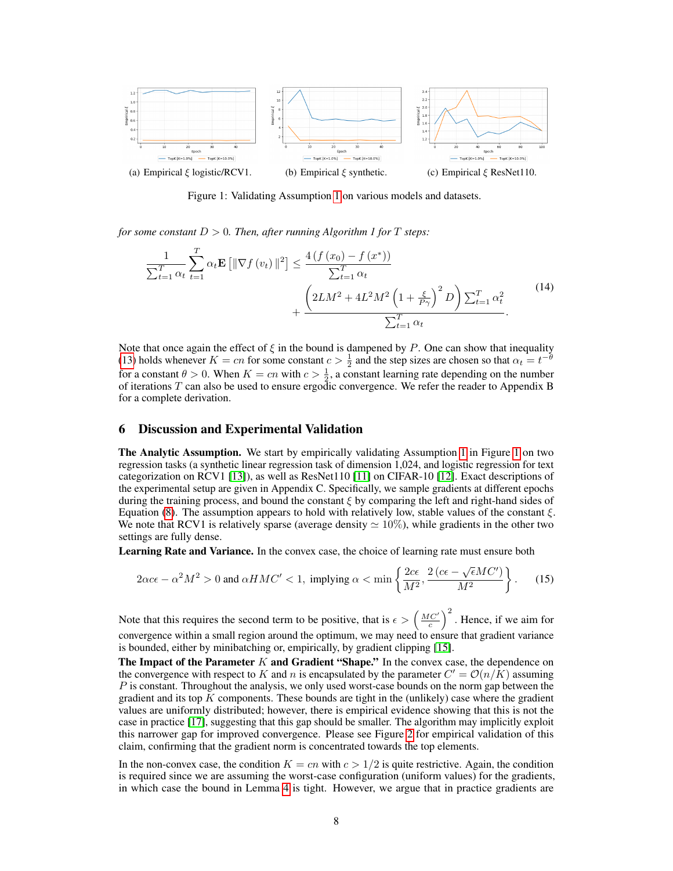

<span id="page-7-1"></span>Figure 1: Validating Assumption [1](#page-4-1) on various models and datasets.

*for some constant*  $D > 0$ *. Then, after running Algorithm 1 for* T *steps*:

$$
\frac{1}{\sum_{t=1}^{T} \alpha_t} \sum_{t=1}^{T} \alpha_t \mathbf{E} \left[ \|\nabla f(v_t)\|^2 \right] \le \frac{4 \left(f(x_0) - f(x^*)\right)}{\sum_{t=1}^{T} \alpha_t} + \frac{\left(2LM^2 + 4L^2M^2 \left(1 + \frac{\xi}{P\gamma}\right)^2 D\right) \sum_{t=1}^{T} \alpha_t^2}{\sum_{t=1}^{T} \alpha_t}.
$$
\n(14)

Note that once again the effect of  $\xi$  in the bound is dampened by P. One can show that inequality [\(13\)](#page-6-0) holds whenever  $K = cn$  for some constant  $c > \frac{1}{2}$  and the step sizes are chosen so that  $\alpha_t = t^{-\theta}$ for a constant  $\theta > 0$ . When  $K = cn$  with  $c > \frac{1}{2}$ , a constant learning rate depending on the number of iterations  $T$  can also be used to ensure ergodic convergence. We refer the reader to Appendix B for a complete derivation.

# <span id="page-7-0"></span>6 Discussion and Experimental Validation

The Analytic Assumption. We start by empirically validating Assumption [1](#page-4-1) in Figure [1](#page-7-1) on two regression tasks (a synthetic linear regression task of dimension 1,024, and logistic regression for text categorization on RCV1 [\[13\]](#page-9-14)), as well as ResNet110 [\[11\]](#page-9-11) on CIFAR-10 [\[12\]](#page-9-15). Exact descriptions of the experimental setup are given in Appendix C. Specifically, we sample gradients at different epochs during the training process, and bound the constant  $\xi$  by comparing the left and right-hand sides of Equation [\(8\)](#page-4-2). The assumption appears to hold with relatively low, stable values of the constant  $\xi$ . We note that RCV1 is relatively sparse (average density  $\simeq 10\%$ ), while gradients in the other two settings are fully dense.

Learning Rate and Variance. In the convex case, the choice of learning rate must ensure both

$$
2\alpha c\epsilon - \alpha^2 M^2 > 0 \text{ and } \alpha HMC' < 1, \text{ implying } \alpha < \min\left\{\frac{2c\epsilon}{M^2}, \frac{2\left(c\epsilon - \sqrt{\epsilon}MC'\right)}{M^2}\right\}.
$$
 (15)

Note that this requires the second term to be positive, that is  $\epsilon > \left(\frac{MC'}{c}\right)^2$ . Hence, if we aim for convergence within a small region around the optimum, we may need to ensure that gradient variance is bounded, either by minibatching or, empirically, by gradient clipping [\[15\]](#page-9-7).

The Impact of the Parameter  $K$  and Gradient "Shape." In the convex case, the dependence on the convergence with respect to K and n is encapsulated by the parameter  $C' = \mathcal{O}(n/K)$  assuming  $P$  is constant. Throughout the analysis, we only used worst-case bounds on the norm gap between the gradient and its top  $K$  components. These bounds are tight in the (unlikely) case where the gradient values are uniformly distributed; however, there is empirical evidence showing that this is not the case in practice [\[17\]](#page-9-16), suggesting that this gap should be smaller. The algorithm may implicitly exploit this narrower gap for improved convergence. Please see Figure [2](#page-8-1) for empirical validation of this claim, confirming that the gradient norm is concentrated towards the top elements.

In the non-convex case, the condition  $K = cn$  with  $c > 1/2$  is quite restrictive. Again, the condition is required since we are assuming the worst-case configuration (uniform values) for the gradients, in which case the bound in Lemma [4](#page-15-0) is tight. However, we argue that in practice gradients are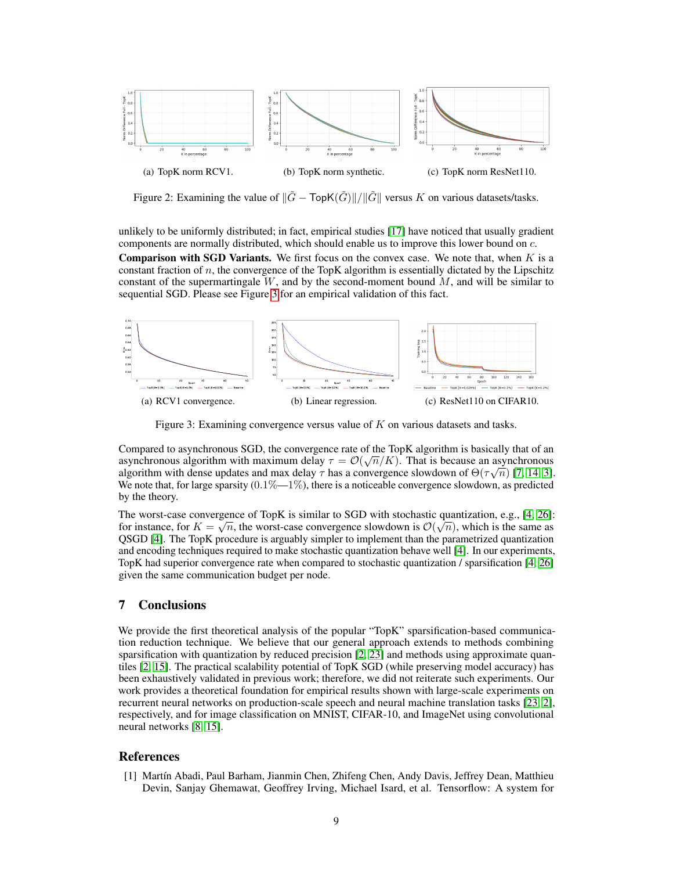

<span id="page-8-1"></span>Figure 2: Examining the value of  $\|\tilde{G} - \text{TopK}(\tilde{G})\| / \|\tilde{G}\|$  versus K on various datasets/tasks.

unlikely to be uniformly distributed; in fact, empirical studies [\[17\]](#page-9-16) have noticed that usually gradient components are normally distributed, which should enable us to improve this lower bound on c.

**Comparison with SGD Variants.** We first focus on the convex case. We note that, when  $K$  is a constant fraction of  $n$ , the convergence of the TopK algorithm is essentially dictated by the Lipschitz constant of the supermartingale  $W$ , and by the second-moment bound  $M$ , and will be similar to sequential SGD. Please see Figure [3](#page-8-2) for an empirical validation of this fact.



<span id="page-8-2"></span>Figure 3: Examining convergence versus value of K on various datasets and tasks.

Compared to asynchronous SGD, the convergence rate of the TopK algorithm is basically that of an asynchronous algorithm with maximum delay  $\tau = \mathcal{O}(\sqrt{n}/K)$ . That is because an asynchronous algorithm with dense updates and max delay  $\tau$  has a convergence slowdown of  $\Theta(\tau\sqrt{n})$  [\[7,](#page-9-4) [14,](#page-9-17) [3\]](#page-9-18). We note that, for large sparsity  $(0.1\% - 1\%)$ , there is a noticeable convergence slowdown, as predicted by the theory.

The worst-case convergence of TopK is similar to SGD with stochastic quantization, e.g., [\[4,](#page-9-0) [26\]](#page-10-10): for instance, for  $K = \sqrt{n}$ , the worst-case convergence slowdown is  $\mathcal{O}(\sqrt{n})$ , which is the same as QSGD [\[4\]](#page-9-0). The TopK procedure is arguably simpler to implement than the parametrized quantization and encoding techniques required to make stochastic quantization behave well [\[4\]](#page-9-0). In our experiments, TopK had superior convergence rate when compared to stochastic quantization / sparsification [\[4,](#page-9-0) [26\]](#page-10-10) given the same communication budget per node.

# 7 Conclusions

We provide the first theoretical analysis of the popular "TopK" sparsification-based communication reduction technique. We believe that our general approach extends to methods combining sparsification with quantization by reduced precision [\[2,](#page-9-6) [23\]](#page-10-4) and methods using approximate quantiles [\[2,](#page-9-6) [15\]](#page-9-7). The practical scalability potential of TopK SGD (while preserving model accuracy) has been exhaustively validated in previous work; therefore, we did not reiterate such experiments. Our work provides a theoretical foundation for empirical results shown with large-scale experiments on recurrent neural networks on production-scale speech and neural machine translation tasks [\[23,](#page-10-4) [2\]](#page-9-6), respectively, and for image classification on MNIST, CIFAR-10, and ImageNet using convolutional neural networks [\[8,](#page-9-5) [15\]](#page-9-7).

#### References

<span id="page-8-0"></span>[1] Martín Abadi, Paul Barham, Jianmin Chen, Zhifeng Chen, Andy Davis, Jeffrey Dean, Matthieu Devin, Sanjay Ghemawat, Geoffrey Irving, Michael Isard, et al. Tensorflow: A system for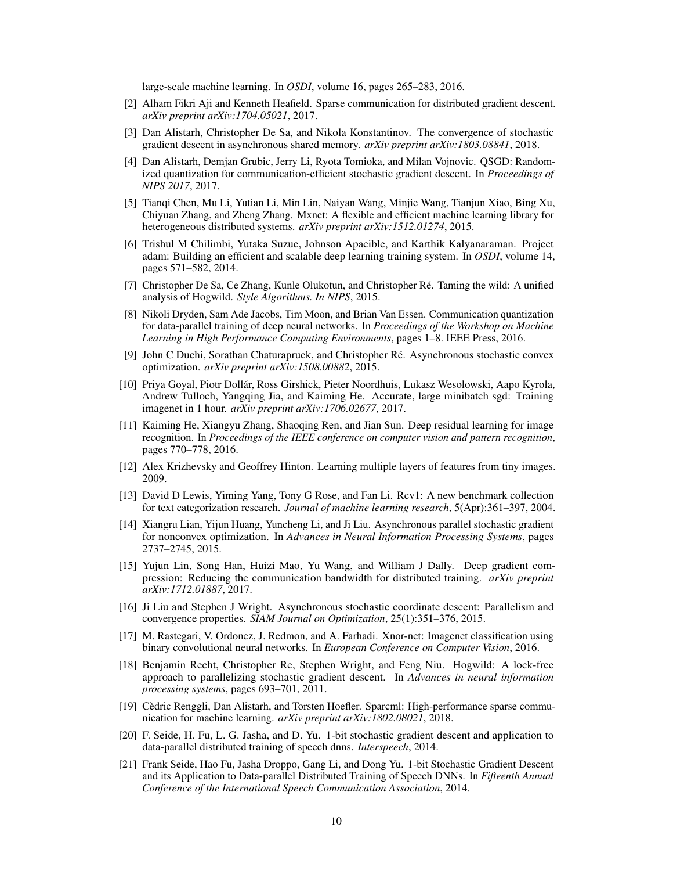large-scale machine learning. In *OSDI*, volume 16, pages 265–283, 2016.

- <span id="page-9-6"></span>[2] Alham Fikri Aji and Kenneth Heafield. Sparse communication for distributed gradient descent. *arXiv preprint arXiv:1704.05021*, 2017.
- <span id="page-9-18"></span>[3] Dan Alistarh, Christopher De Sa, and Nikola Konstantinov. The convergence of stochastic gradient descent in asynchronous shared memory. *arXiv preprint arXiv:1803.08841*, 2018.
- <span id="page-9-0"></span>[4] Dan Alistarh, Demjan Grubic, Jerry Li, Ryota Tomioka, and Milan Vojnovic. QSGD: Randomized quantization for communication-efficient stochastic gradient descent. In *Proceedings of NIPS 2017*, 2017.
- <span id="page-9-10"></span>[5] Tianqi Chen, Mu Li, Yutian Li, Min Lin, Naiyan Wang, Minjie Wang, Tianjun Xiao, Bing Xu, Chiyuan Zhang, and Zheng Zhang. Mxnet: A flexible and efficient machine learning library for heterogeneous distributed systems. *arXiv preprint arXiv:1512.01274*, 2015.
- <span id="page-9-1"></span>[6] Trishul M Chilimbi, Yutaka Suzue, Johnson Apacible, and Karthik Kalyanaraman. Project adam: Building an efficient and scalable deep learning training system. In *OSDI*, volume 14, pages 571–582, 2014.
- <span id="page-9-4"></span>[7] Christopher De Sa, Ce Zhang, Kunle Olukotun, and Christopher Ré. Taming the wild: A unified analysis of Hogwild. *Style Algorithms. In NIPS*, 2015.
- <span id="page-9-5"></span>[8] Nikoli Dryden, Sam Ade Jacobs, Tim Moon, and Brian Van Essen. Communication quantization for data-parallel training of deep neural networks. In *Proceedings of the Workshop on Machine Learning in High Performance Computing Environments*, pages 1–8. IEEE Press, 2016.
- <span id="page-9-9"></span>[9] John C Duchi, Sorathan Chaturapruek, and Christopher Ré. Asynchronous stochastic convex optimization. *arXiv preprint arXiv:1508.00882*, 2015.
- <span id="page-9-2"></span>[10] Priya Goyal, Piotr Dollár, Ross Girshick, Pieter Noordhuis, Lukasz Wesolowski, Aapo Kyrola, Andrew Tulloch, Yangqing Jia, and Kaiming He. Accurate, large minibatch sgd: Training imagenet in 1 hour. *arXiv preprint arXiv:1706.02677*, 2017.
- <span id="page-9-11"></span>[11] Kaiming He, Xiangyu Zhang, Shaoqing Ren, and Jian Sun. Deep residual learning for image recognition. In *Proceedings of the IEEE conference on computer vision and pattern recognition*, pages 770–778, 2016.
- <span id="page-9-15"></span>[12] Alex Krizhevsky and Geoffrey Hinton. Learning multiple layers of features from tiny images. 2009.
- <span id="page-9-14"></span>[13] David D Lewis, Yiming Yang, Tony G Rose, and Fan Li. Rcv1: A new benchmark collection for text categorization research. *Journal of machine learning research*, 5(Apr):361–397, 2004.
- <span id="page-9-17"></span>[14] Xiangru Lian, Yijun Huang, Yuncheng Li, and Ji Liu. Asynchronous parallel stochastic gradient for nonconvex optimization. In *Advances in Neural Information Processing Systems*, pages 2737–2745, 2015.
- <span id="page-9-7"></span>[15] Yujun Lin, Song Han, Huizi Mao, Yu Wang, and William J Dally. Deep gradient compression: Reducing the communication bandwidth for distributed training. *arXiv preprint arXiv:1712.01887*, 2017.
- <span id="page-9-13"></span>[16] Ji Liu and Stephen J Wright. Asynchronous stochastic coordinate descent: Parallelism and convergence properties. *SIAM Journal on Optimization*, 25(1):351–376, 2015.
- <span id="page-9-16"></span>[17] M. Rastegari, V. Ordonez, J. Redmon, and A. Farhadi. Xnor-net: Imagenet classification using binary convolutional neural networks. In *European Conference on Computer Vision*, 2016.
- <span id="page-9-8"></span>[18] Benjamin Recht, Christopher Re, Stephen Wright, and Feng Niu. Hogwild: A lock-free approach to parallelizing stochastic gradient descent. In *Advances in neural information processing systems*, pages 693–701, 2011.
- <span id="page-9-19"></span>[19] Cèdric Renggli, Dan Alistarh, and Torsten Hoefler. Sparcml: High-performance sparse communication for machine learning. *arXiv preprint arXiv:1802.08021*, 2018.
- <span id="page-9-3"></span>[20] F. Seide, H. Fu, L. G. Jasha, and D. Yu. 1-bit stochastic gradient descent and application to data-parallel distributed training of speech dnns. *Interspeech*, 2014.
- <span id="page-9-12"></span>[21] Frank Seide, Hao Fu, Jasha Droppo, Gang Li, and Dong Yu. 1-bit Stochastic Gradient Descent and its Application to Data-parallel Distributed Training of Speech DNNs. In *Fifteenth Annual Conference of the International Speech Communication Association*, 2014.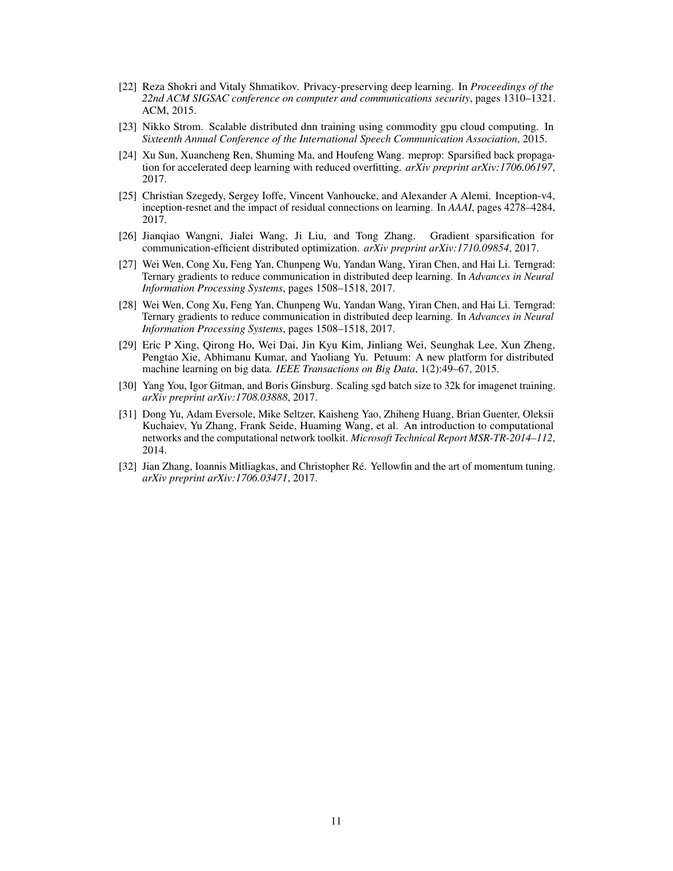- <span id="page-10-2"></span>[22] Reza Shokri and Vitaly Shmatikov. Privacy-preserving deep learning. In *Proceedings of the 22nd ACM SIGSAC conference on computer and communications security*, pages 1310–1321. ACM, 2015.
- <span id="page-10-4"></span>[23] Nikko Strom. Scalable distributed dnn training using commodity gpu cloud computing. In *Sixteenth Annual Conference of the International Speech Communication Association*, 2015.
- <span id="page-10-3"></span>[24] Xu Sun, Xuancheng Ren, Shuming Ma, and Houfeng Wang. meprop: Sparsified back propagation for accelerated deep learning with reduced overfitting. *arXiv preprint arXiv:1706.06197*, 2017.
- <span id="page-10-6"></span>[25] Christian Szegedy, Sergey Ioffe, Vincent Vanhoucke, and Alexander A Alemi. Inception-v4, inception-resnet and the impact of residual connections on learning. In *AAAI*, pages 4278–4284, 2017.
- <span id="page-10-10"></span>[26] Jianqiao Wangni, Jialei Wang, Ji Liu, and Tong Zhang. Gradient sparsification for communication-efficient distributed optimization. *arXiv preprint arXiv:1710.09854*, 2017.
- <span id="page-10-1"></span>[27] Wei Wen, Cong Xu, Feng Yan, Chunpeng Wu, Yandan Wang, Yiran Chen, and Hai Li. Terngrad: Ternary gradients to reduce communication in distributed deep learning. In *Advances in Neural Information Processing Systems*, pages 1508–1518, 2017.
- <span id="page-10-9"></span>[28] Wei Wen, Cong Xu, Feng Yan, Chunpeng Wu, Yandan Wang, Yiran Chen, and Hai Li. Terngrad: Ternary gradients to reduce communication in distributed deep learning. In *Advances in Neural Information Processing Systems*, pages 1508–1518, 2017.
- <span id="page-10-0"></span>[29] Eric P Xing, Qirong Ho, Wei Dai, Jin Kyu Kim, Jinliang Wei, Seunghak Lee, Xun Zheng, Pengtao Xie, Abhimanu Kumar, and Yaoliang Yu. Petuum: A new platform for distributed machine learning on big data. *IEEE Transactions on Big Data*, 1(2):49–67, 2015.
- <span id="page-10-7"></span>[30] Yang You, Igor Gitman, and Boris Ginsburg. Scaling sgd batch size to 32k for imagenet training. *arXiv preprint arXiv:1708.03888*, 2017.
- <span id="page-10-5"></span>[31] Dong Yu, Adam Eversole, Mike Seltzer, Kaisheng Yao, Zhiheng Huang, Brian Guenter, Oleksii Kuchaiev, Yu Zhang, Frank Seide, Huaming Wang, et al. An introduction to computational networks and the computational network toolkit. *Microsoft Technical Report MSR-TR-2014–112*, 2014.
- <span id="page-10-8"></span>[32] Jian Zhang, Ioannis Mitliagkas, and Christopher Ré. Yellowfin and the art of momentum tuning. *arXiv preprint arXiv:1706.03471*, 2017.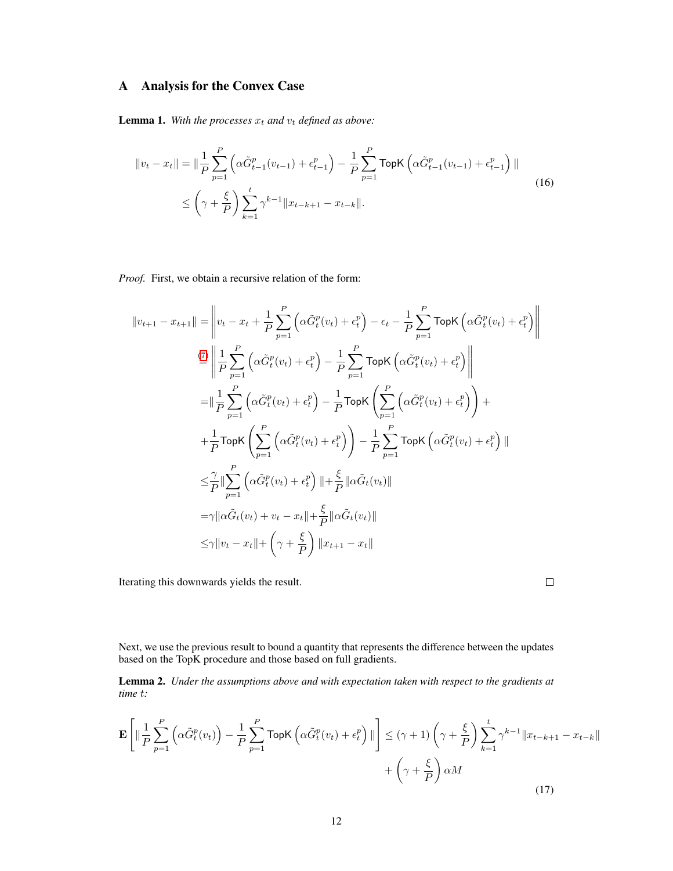# A Analysis for the Convex Case

**Lemma 1.** With the processes  $x_t$  and  $v_t$  defined as above:

$$
||v_t - x_t|| = ||\frac{1}{P} \sum_{p=1}^{P} \left( \alpha \tilde{G}_{t-1}^p(v_{t-1}) + \epsilon_{t-1}^p \right) - \frac{1}{P} \sum_{p=1}^{P} \text{TopK} \left( \alpha \tilde{G}_{t-1}^p(v_{t-1}) + \epsilon_{t-1}^p \right) ||
$$
  
 
$$
\leq \left( \gamma + \frac{\xi}{P} \right) \sum_{k=1}^{t} \gamma^{k-1} ||x_{t-k+1} - x_{t-k}||.
$$
 (16)

*Proof.* First, we obtain a recursive relation of the form:

$$
||v_{t+1} - x_{t+1}|| = \left||v_t - x_t + \frac{1}{P} \sum_{p=1}^P \left(\alpha \tilde{G}_t^p(v_t) + \epsilon_t^p\right) - \epsilon_t - \frac{1}{P} \sum_{p=1}^P \text{TopK}\left(\alpha \tilde{G}_t^p(v_t) + \epsilon_t^p\right)\right||
$$
  
\n
$$
\stackrel{(7)}{=} \left\|\frac{1}{P} \sum_{p=1}^P \left(\alpha \tilde{G}_t^p(v_t) + \epsilon_t^p\right) - \frac{1}{P} \sum_{p=1}^P \text{TopK}\left(\alpha \tilde{G}_t^p(v_t) + \epsilon_t^p\right)\right\|
$$
  
\n
$$
= \left\|\frac{1}{P} \sum_{p=1}^P \left(\alpha \tilde{G}_t^p(v_t) + \epsilon_t^p\right) - \frac{1}{P} \text{TopK}\left(\sum_{p=1}^P \left(\alpha \tilde{G}_t^p(v_t) + \epsilon_t^p\right)\right) + \frac{1}{P} \text{TopK}\left(\sum_{p=1}^P \left(\alpha \tilde{G}_t^p(v_t) + \epsilon_t^p\right)\right) - \frac{1}{P} \sum_{p=1}^P \text{TopK}\left(\alpha \tilde{G}_t^p(v_t) + \epsilon_t^p\right)||
$$
  
\n
$$
\leq \frac{\gamma}{P} \left\|\sum_{p=1}^P \left(\alpha \tilde{G}_t^p(v_t) + \epsilon_t^p\right) + \frac{\xi}{P} \|\alpha \tilde{G}_t(v_t)||
$$
  
\n
$$
= \gamma \|\alpha \tilde{G}_t(v_t) + v_t - x_t\| + \frac{\xi}{P} \|\alpha \tilde{G}_t(v_t)||
$$
  
\n
$$
\leq \gamma \|\nu_t - x_t\| + \left(\gamma + \frac{\xi}{P}\right) \|\boldsymbol{x}_{t+1} - \boldsymbol{x}_t\|
$$

Iterating this downwards yields the result.

 $\Box$ 

Next, we use the previous result to bound a quantity that represents the difference between the updates based on the TopK procedure and those based on full gradients.

<span id="page-11-0"></span>Lemma 2. *Under the assumptions above and with expectation taken with respect to the gradients at time* t*:*

$$
\mathbf{E}\left[\|\frac{1}{P}\sum_{p=1}^{P}\left(\alpha\tilde{G}_{t}^{p}(v_{t})\right)-\frac{1}{P}\sum_{p=1}^{P}\text{TopK}\left(\alpha\tilde{G}_{t}^{p}(v_{t})+\epsilon_{t}^{p}\right)\|\right] \leq (\gamma+1)\left(\gamma+\frac{\xi}{P}\right)\sum_{k=1}^{t}\gamma^{k-1}\|x_{t-k+1}-x_{t-k}\|+\left(\gamma+\frac{\xi}{P}\right)\alpha M\tag{17}
$$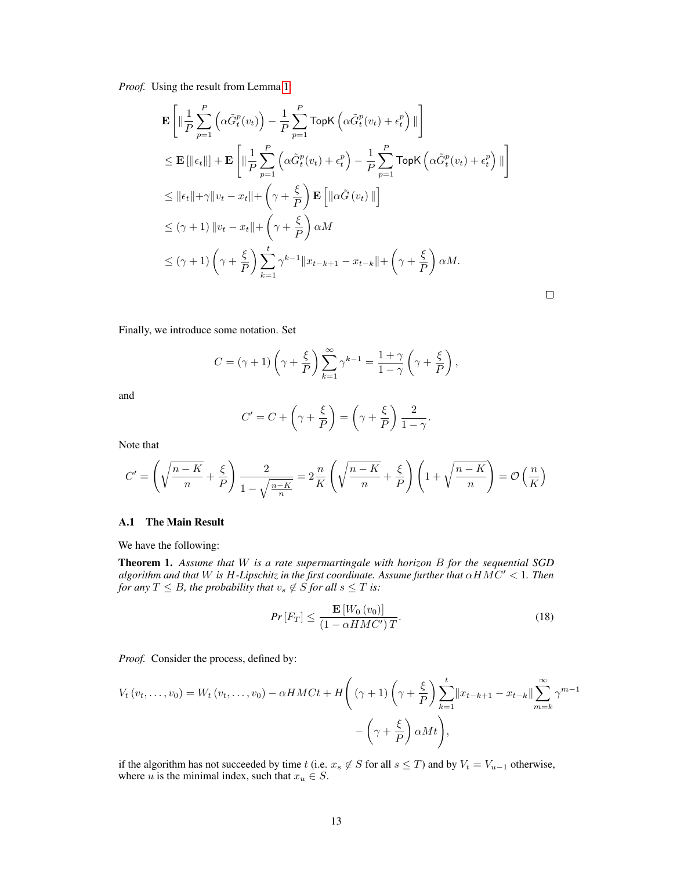*Proof.* Using the result from Lemma [1:](#page-5-0)

$$
\mathbf{E}\left[\|\frac{1}{P}\sum_{p=1}^{P}\left(\alpha\tilde{G}_{t}^{p}(v_{t})\right)-\frac{1}{P}\sum_{p=1}^{P}\text{TopK}\left(\alpha\tilde{G}_{t}^{p}(v_{t})+\epsilon_{t}^{p}\right)\|\right] \n\leq \mathbf{E}\left[\|\epsilon_{t}\|\right]+\mathbf{E}\left[\|\frac{1}{P}\sum_{p=1}^{P}\left(\alpha\tilde{G}_{t}^{p}(v_{t})+\epsilon_{t}^{p}\right)-\frac{1}{P}\sum_{p=1}^{P}\text{TopK}\left(\alpha\tilde{G}_{t}^{p}(v_{t})+\epsilon_{t}^{p}\right)\|\right] \n\leq \|\epsilon_{t}\|+\gamma\|v_{t}-x_{t}\|+\left(\gamma+\frac{\xi}{P}\right)\mathbf{E}\left[\|\alpha\tilde{G}\left(v_{t}\right)\|\right] \n\leq (\gamma+1)\|v_{t}-x_{t}\|+\left(\gamma+\frac{\xi}{P}\right)\alpha M \n\leq (\gamma+1)\left(\gamma+\frac{\xi}{P}\right)\sum_{k=1}^{t}\gamma^{k-1}\|x_{t-k+1}-x_{t-k}\|+\left(\gamma+\frac{\xi}{P}\right)\alpha M.
$$

Finally, we introduce some notation. Set

$$
C = (\gamma + 1) \left(\gamma + \frac{\xi}{P}\right) \sum_{k=1}^{\infty} \gamma^{k-1} = \frac{1+\gamma}{1-\gamma} \left(\gamma + \frac{\xi}{P}\right),
$$

and

$$
C' = C + \left(\gamma + \frac{\xi}{P}\right) = \left(\gamma + \frac{\xi}{P}\right) \frac{2}{1 - \gamma}.
$$

Note that

$$
C' = \left(\sqrt{\frac{n-K}{n}} + \frac{\xi}{P}\right) \frac{2}{1 - \sqrt{\frac{n-K}{n}}} = 2\frac{n}{K} \left(\sqrt{\frac{n-K}{n}} + \frac{\xi}{P}\right) \left(1 + \sqrt{\frac{n-K}{n}}\right) = \mathcal{O}\left(\frac{n}{K}\right)
$$

#### A.1 The Main Result

We have the following:

Theorem 1. *Assume that* W *is a rate supermartingale with horizon* B *for the sequential SGD algorithm and that* W *is* H*-Lipschitz in the first coordinate. Assume further that* αHMC<sup>0</sup> < 1*. Then for any*  $T \leq B$ *, the probability that*  $v_s \notin \mathcal{S}$  *for all*  $s \leq T$  *is:* 

$$
Pr\left[F_T\right] \le \frac{\mathbf{E}\left[W_0\left(v_0\right)\right]}{\left(1 - \alpha H M C'\right)T}.\tag{18}
$$

 $\Box$ 

*Proof.* Consider the process, defined by:

$$
V_t(v_t, \dots, v_0) = W_t(v_t, \dots, v_0) - \alpha H M C t + H\left((\gamma + 1)\left(\gamma + \frac{\xi}{P}\right) \sum_{k=1}^t \lVert x_{t-k+1} - x_{t-k} \rVert \sum_{m=k}^{\infty} \gamma^{m-1} - \left(\gamma + \frac{\xi}{P}\right) \alpha M t\right),
$$

if the algorithm has not succeeded by time t (i.e.  $x_s \notin S$  for all  $s \leq T$ ) and by  $V_t = V_{u-1}$  otherwise, where u is the minimal index, such that  $x_u \in S$ .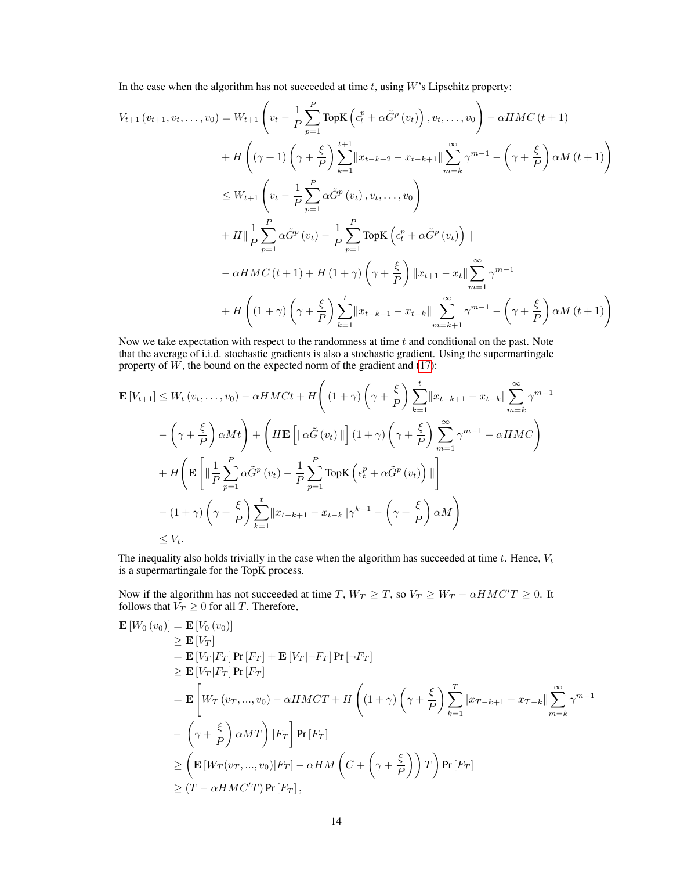In the case when the algorithm has not succeeded at time  $t$ , using  $W$ 's Lipschitz property:

$$
V_{t+1}(v_{t+1}, v_t, ..., v_0) = W_{t+1} \left( v_t - \frac{1}{P} \sum_{p=1}^P \text{TopK} \left( \epsilon_t^p + \alpha \tilde{G}^p \left( v_t \right) \right), v_t, ..., v_0 \right) - \alpha H M C \left( t + 1 \right)
$$
  
+ 
$$
H \left( (\gamma + 1) \left( \gamma + \frac{\xi}{P} \right) \sum_{k=1}^{t+1} \left| x_{t-k+2} - x_{t-k+1} \right| \sum_{m=k}^{\infty} \gamma^{m-1} - \left( \gamma + \frac{\xi}{P} \right) \alpha M \left( t + 1 \right) \right)
$$
  

$$
\leq W_{t+1} \left( v_t - \frac{1}{P} \sum_{p=1}^P \alpha \tilde{G}^p \left( v_t \right), v_t, ..., v_0 \right)
$$
  
+ 
$$
H \left\| \frac{1}{P} \sum_{p=1}^P \alpha \tilde{G}^p \left( v_t \right) - \frac{1}{P} \sum_{p=1}^P \text{TopK} \left( \epsilon_t^p + \alpha \tilde{G}^p \left( v_t \right) \right) \right\|
$$
  
- 
$$
\alpha H M C \left( t + 1 \right) + H \left( 1 + \gamma \right) \left( \gamma + \frac{\xi}{P} \right) \left\| x_{t+1} - x_t \right\| \sum_{m=1}^{\infty} \gamma^{m-1}
$$
  
+ 
$$
H \left( \left( 1 + \gamma \right) \left( \gamma + \frac{\xi}{P} \right) \sum_{k=1}^t \left\| x_{t-k+1} - x_{t-k} \right\| \sum_{m=k+1}^{\infty} \gamma^{m-1} - \left( \gamma + \frac{\xi}{P} \right) \alpha M \left( t + 1 \right) \right)
$$

Now we take expectation with respect to the randomness at time  $t$  and conditional on the past. Note that the average of i.i.d. stochastic gradients is also a stochastic gradient. Using the supermartingale property of  $W$ , the bound on the expected norm of the gradient and  $(17)$ :

$$
\mathbf{E}\left[V_{t+1}\right] \leq W_t\left(v_t, \dots, v_0\right) - \alpha H M C t + H\left((1+\gamma)\left(\gamma + \frac{\xi}{P}\right) \sum_{k=1}^t \lVert x_{t-k+1} - x_{t-k} \rVert \sum_{m=k}^{\infty} \gamma^{m-1} \right)
$$

$$
-\left(\gamma + \frac{\xi}{P}\right) \alpha M t\right) + \left(H \mathbf{E}\left[\lVert \alpha \tilde{G}\left(v_t\right) \rVert\right](1+\gamma)\left(\gamma + \frac{\xi}{P}\right) \sum_{m=1}^{\infty} \gamma^{m-1} - \alpha H M C\right)
$$

$$
+ H\left(\mathbf{E}\left[\lVert \frac{1}{P} \sum_{p=1}^P \alpha \tilde{G}^p\left(v_t\right) - \frac{1}{P} \sum_{p=1}^P \text{TopK}\left(\epsilon_t^p + \alpha \tilde{G}^p\left(v_t\right)\right) \rVert\right]
$$

$$
-(1+\gamma)\left(\gamma + \frac{\xi}{P}\right) \sum_{k=1}^t \lVert x_{t-k+1} - x_{t-k} \rVert \gamma^{k-1} - \left(\gamma + \frac{\xi}{P}\right) \alpha M\right)
$$

$$
\leq V_t.
$$

The inequality also holds trivially in the case when the algorithm has succeeded at time  $t$ . Hence,  $V_t$ is a supermartingale for the TopK process.

Now if the algorithm has not succeeded at time T,  $W_T \geq T$ , so  $V_T \geq W_T - \alpha HMC'T \geq 0$ . It follows that  $V_T \geq 0$  for all T. Therefore,

$$
\mathbf{E}\left[W_{0}\left(v_{0}\right)\right] = \mathbf{E}\left[V_{0}\left(v_{0}\right)\right] \geq \mathbf{E}\left[V_{T}\right] \n= \mathbf{E}\left[V_{T}|F_{T}\right] \Pr\left[F_{T}\right] + \mathbf{E}\left[V_{T}\right] \neg F_{T}\right] \Pr\left[\neg F_{T}\right] \geq \mathbf{E}\left[V_{T}|F_{T}\right] \Pr\left[F_{T}\right] \n= \mathbf{E}\left[W_{T}\left(v_{T},...,v_{0}\right) - \alpha H M C T + H\left((1+\gamma)\left(\gamma + \frac{\xi}{P}\right)\sum_{k=1}^{T} \|x_{T-k+1} - x_{T-k}\| \sum_{m=k}^{\infty} \gamma^{m-1} \right) \right] \n- \left(\gamma + \frac{\xi}{P}\right) \alpha M T\right) |F_{T}| \Pr\left[F_{T}\right] \geq \left(\mathbf{E}\left[W_{T}\left(v_{T},...,v_{0}\right)|F_{T}\right] - \alpha H M \left(C + \left(\gamma + \frac{\xi}{P}\right)\right) T\right) \Pr\left[F_{T}\right] \geq (T - \alpha H M C' T) \Pr\left[F_{T}\right],
$$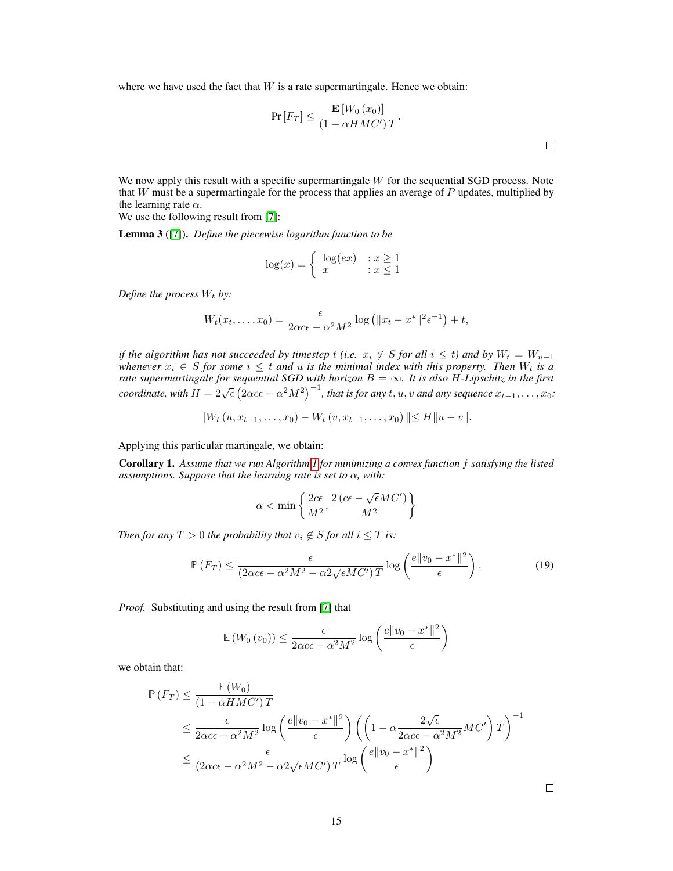where we have used the fact that  $W$  is a rate supermartingale. Hence we obtain:

$$
\Pr\left[F_T\right] \le \frac{\mathbf{E}\left[W_0\left(x_0\right)\right]}{\left(1 - \alpha H M C'\right)T}.
$$

We now apply this result with a specific supermartingale  $W$  for the sequential SGD process. Note that  $W$  must be a supermartingale for the process that applies an average of  $P$  updates, multiplied by the learning rate  $\alpha$ .

We use the following result from [\[7\]](#page-9-4):

Lemma 3 ([\[7\]](#page-9-4)). *Define the piecewise logarithm function to be*

$$
\log(x) = \begin{cases} \log(ex) & : x \ge 1 \\ x & : x \le 1 \end{cases}
$$

*Define the process*  $W_t$  *by:* 

$$
W_t(x_t,\ldots,x_0)=\frac{\epsilon}{2\alpha c\epsilon-\alpha^2M^2}\log\left(\|x_t-x^*\|^2\epsilon^{-1}\right)+t,
$$

*if the algorithm has not succeeded by timestep t (i.e.*  $x_i \notin S$  *for all*  $i \leq t$ *) and by*  $W_t = W_{u-1}$ *whenever*  $x_i \in S$  *for some*  $i \leq t$  *and*  $u$  *is the minimal index with this property. Then*  $W_t$  *is a rate supermartingale for sequential SGD with horizon* B = ∞*. It is also* H*-Lipschitz in the first coordinate, with*  $H = 2\sqrt{\epsilon} (2\alpha c \epsilon - \alpha^2 M^2)^{-1}$ , *that is for any*  $t, u, v$  *and any sequence*  $x_{t-1}, \ldots, x_0$ :

$$
||W_t (u, x_{t-1}, \dots, x_0) - W_t (v, x_{t-1}, \dots, x_0)|| \le H||u - v||.
$$

Applying this particular martingale, we obtain:

Corollary 1. *Assume that we run Algorithm [1](#page-4-0) for minimizing a convex function* f *satisfying the listed assumptions. Suppose that the learning rate is set to* α*, with:*

$$
\alpha < \min\left\{\frac{2c\epsilon}{M^2}, \frac{2\left(c\epsilon - \sqrt{\epsilon}MC'\right)}{M^2}\right\}
$$

*Then for any*  $T > 0$  *the probability that*  $v_i \notin S$  *for all*  $i \leq T$  *is:* 

$$
\mathbb{P}\left(F_T\right) \le \frac{\epsilon}{\left(2\alpha c\epsilon - \alpha^2 M^2 - \alpha^2 \sqrt{\epsilon}MC'\right)T} \log\left(\frac{e\|v_0 - x^*\|^2}{\epsilon}\right). \tag{19}
$$

*Proof.* Substituting and using the result from [\[7\]](#page-9-4) that

$$
\mathbb{E}\left(W_0\left(v_0\right)\right) \le \frac{\epsilon}{2\alpha c\epsilon - \alpha^2 M^2} \log\left(\frac{e\|v_0 - x^*\|^2}{\epsilon}\right)
$$

we obtain that:

$$
\mathbb{P}(F_T) \leq \frac{\mathbb{E}(W_0)}{(1 - \alpha HMC')T} \leq \frac{\epsilon}{2\alpha c \epsilon - \alpha^2 M^2} \log \left(\frac{e||v_0 - x^*||^2}{\epsilon}\right) \left(\left(1 - \alpha \frac{2\sqrt{\epsilon}}{2\alpha c \epsilon - \alpha^2 M^2}MC'\right)T\right)^{-1} \leq \frac{\epsilon}{(2\alpha c \epsilon - \alpha^2 M^2 - \alpha^2 \sqrt{\epsilon}MC')T} \log \left(\frac{e||v_0 - x^*||^2}{\epsilon}\right)
$$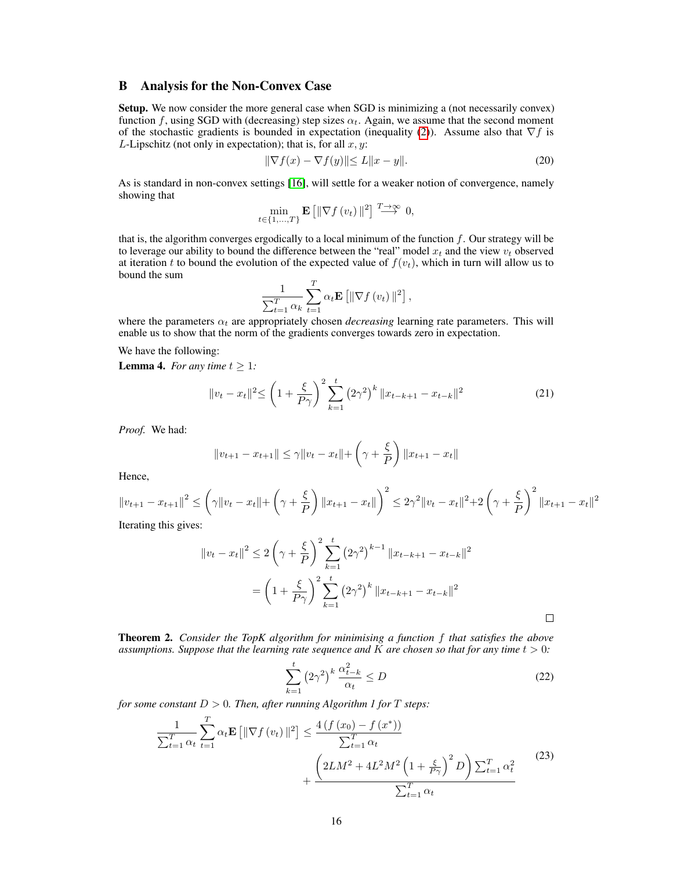### B Analysis for the Non-Convex Case

Setup. We now consider the more general case when SGD is minimizing a (not necessarily convex) function f, using SGD with (decreasing) step sizes  $\alpha_t$ . Again, we assume that the second moment of the stochastic gradients is bounded in expectation (inequality [\(2\)](#page-2-0)). Assume also that  $\nabla f$  is L-Lipschitz (not only in expectation); that is, for all  $x, y$ :

$$
\|\nabla f(x) - \nabla f(y)\| \le L\|x - y\|.\tag{20}
$$

As is standard in non-convex settings [\[16\]](#page-9-13), will settle for a weaker notion of convergence, namely showing that

$$
\min_{t \in \{1, ..., T\}} \mathbf{E} \left[ \|\nabla f(v_t)\|^2 \right] \stackrel{T \to \infty}{\longrightarrow} 0,
$$

that is, the algorithm converges ergodically to a local minimum of the function  $f$ . Our strategy will be to leverage our ability to bound the difference between the "real" model  $x_t$  and the view  $v_t$  observed at iteration t to bound the evolution of the expected value of  $f(v_t)$ , which in turn will allow us to bound the sum

$$
\frac{1}{\sum_{t=1}^T \alpha_k} \sum_{t=1}^T \alpha_t \mathbf{E} \left[ \|\nabla f(v_t)\|^2 \right],
$$

where the parameters  $\alpha_t$  are appropriately chosen *decreasing* learning rate parameters. This will enable us to show that the norm of the gradients converges towards zero in expectation.

We have the following:

<span id="page-15-0"></span>**Lemma 4.** *For any time*  $t \geq 1$ *:* 

$$
||v_t - x_t||^2 \le \left(1 + \frac{\xi}{P\gamma}\right)^2 \sum_{k=1}^t \left(2\gamma^2\right)^k ||x_{t-k+1} - x_{t-k}||^2 \tag{21}
$$

*Proof.* We had:

$$
||v_{t+1} - x_{t+1}|| \le \gamma ||v_t - x_t|| + \left(\gamma + \frac{\xi}{P}\right) ||x_{t+1} - x_t||
$$

Hence,

$$
||v_{t+1} - x_{t+1}||^2 \leq \left(\gamma ||v_t - x_t|| + \left(\gamma + \frac{\xi}{P}\right) ||x_{t+1} - x_t||\right)^2 \leq 2\gamma^2 ||v_t - x_t||^2 + 2\left(\gamma + \frac{\xi}{P}\right)^2 ||x_{t+1} - x_t||^2
$$
  
Iterating this gives:

Iterating this gives:

$$
||v_t - x_t||^2 \le 2\left(\gamma + \frac{\xi}{P}\right)^2 \sum_{k=1}^t \left(2\gamma^2\right)^{k-1} ||x_{t-k+1} - x_{t-k}||^2
$$
  
=  $\left(1 + \frac{\xi}{P\gamma}\right)^2 \sum_{k=1}^t \left(2\gamma^2\right)^k ||x_{t-k+1} - x_{t-k}||^2$ 

Theorem 2. *Consider the TopK algorithm for minimising a function* f *that satisfies the above assumptions. Suppose that the learning rate sequence and*  $K$  *are chosen so that for any time*  $t > 0$ *:* 

<span id="page-15-1"></span>
$$
\sum_{k=1}^{t} \left(2\gamma^2\right)^k \frac{\alpha_{t-k}^2}{\alpha_t} \le D \tag{22}
$$

*for some constant*  $D > 0$ *. Then, after running Algorithm 1 for*  $T$  *steps:* 

$$
\frac{1}{\sum_{t=1}^{T} \alpha_t} \sum_{t=1}^{T} \alpha_t \mathbf{E} \left[ \|\nabla f(v_t)\|^2 \right] \le \frac{4 \left(f(x_0) - f(x^*)\right)}{\sum_{t=1}^{T} \alpha_t} + \frac{\left(2LM^2 + 4L^2M^2 \left(1 + \frac{\xi}{P\gamma}\right)^2 D\right) \sum_{t=1}^{T} \alpha_t^2}{\sum_{t=1}^{T} \alpha_t} \tag{23}
$$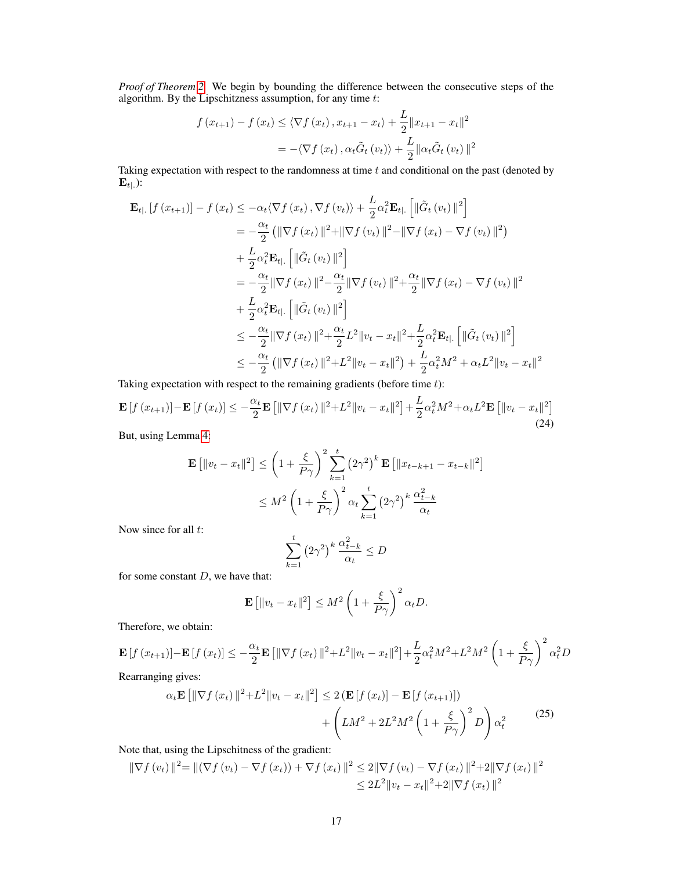*Proof of Theorem [2.](#page-6-1)* We begin by bounding the difference between the consecutive steps of the algorithm. By the Lipschitzness assumption, for any time  $t$ :

$$
f(x_{t+1}) - f(x_t) \le \langle \nabla f(x_t), x_{t+1} - x_t \rangle + \frac{L}{2} ||x_{t+1} - x_t||^2
$$
  
= -\langle \nabla f(x\_t), \alpha\_t \tilde{G}\_t(v\_t) \rangle + \frac{L}{2} ||\alpha\_t \tilde{G}\_t(v\_t)||^2

Taking expectation with respect to the randomness at time  $t$  and conditional on the past (denoted by  $\mathbf{E}_{t|}$ .):

$$
\mathbf{E}_{t|.}[f(x_{t+1})] - f(x_t) \le -\alpha_t \langle \nabla f(x_t), \nabla f(v_t) \rangle + \frac{L}{2} \alpha_t^2 \mathbf{E}_{t|.} [ \|\tilde{G}_t(v_t)\|^2 ] \n= -\frac{\alpha_t}{2} (\|\nabla f(x_t)\|^2 + \|\nabla f(v_t)\|^2 - \|\nabla f(x_t) - \nabla f(v_t)\|^2 ) \n+ \frac{L}{2} \alpha_t^2 \mathbf{E}_{t|.} [ \|\tilde{G}_t(v_t)\|^2 ] \n= -\frac{\alpha_t}{2} \|\nabla f(x_t)\|^2 - \frac{\alpha_t}{2} \|\nabla f(v_t)\|^2 + \frac{\alpha_t}{2} \|\nabla f(x_t) - \nabla f(v_t)\|^2 \n+ \frac{L}{2} \alpha_t^2 \mathbf{E}_{t|.} [ \|\tilde{G}_t(v_t)\|^2 ] \n\le -\frac{\alpha_t}{2} \|\nabla f(x_t)\|^2 + \frac{\alpha_t}{2} L^2 \|v_t - x_t\|^2 + \frac{L}{2} \alpha_t^2 \mathbf{E}_{t|.} [ \|\tilde{G}_t(v_t)\|^2 ] \n\le -\frac{\alpha_t}{2} (\|\nabla f(x_t)\|^2 + L^2 \|v_t - x_t\|^2) + \frac{L}{2} \alpha_t^2 M^2 + \alpha_t L^2 \|v_t - x_t\|^2
$$

Taking expectation with respect to the remaining gradients (before time  $t$ ):

$$
\mathbf{E}\left[f\left(x_{t+1}\right)\right] - \mathbf{E}\left[f\left(x_{t}\right)\right] \leq -\frac{\alpha_{t}}{2}\mathbf{E}\left[\|\nabla f\left(x_{t}\right)\|^{2} + L^{2}\|v_{t} - x_{t}\|^{2}\right] + \frac{L}{2}\alpha_{t}^{2}M^{2} + \alpha_{t}L^{2}\mathbf{E}\left[\|v_{t} - x_{t}\|^{2}\right] \tag{24}
$$

But, using Lemma [4:](#page-15-0)

$$
\mathbf{E} [||v_t - x_t||^2] \leq \left(1 + \frac{\xi}{P\gamma}\right)^2 \sum_{k=1}^t \left(2\gamma^2\right)^k \mathbf{E} \left[||x_{t-k+1} - x_{t-k}||^2\right]
$$

$$
\leq M^2 \left(1 + \frac{\xi}{P\gamma}\right)^2 \alpha_t \sum_{k=1}^t \left(2\gamma^2\right)^k \frac{\alpha_{t-k}^2}{\alpha_t}
$$

Now since for all  $t$ :

$$
\sum_{k=1}^{t} \left(2\gamma^2\right)^k \frac{\alpha_{t-k}^2}{\alpha_t} \le D
$$

for some constant  $D$ , we have that:

$$
\mathbf{E}\left[\|v_t - x_t\|^2\right] \le M^2 \left(1 + \frac{\xi}{P\gamma}\right)^2 \alpha_t D.
$$

Therefore, we obtain:

$$
\mathbf{E}\left[f\left(x_{t+1}\right)\right]-\mathbf{E}\left[f\left(x_{t}\right)\right]\leq-\frac{\alpha_{t}}{2}\mathbf{E}\left[\|\nabla f\left(x_{t}\right)\|^{2}+L^{2}\|v_{t}-x_{t}\|^{2}\right]+\frac{L}{2}\alpha_{t}^{2}M^{2}+L^{2}M^{2}\left(1+\frac{\xi}{P\gamma}\right)^{2}\alpha_{t}^{2}D
$$

Rearranging gives:

<span id="page-16-0"></span>
$$
\alpha_t \mathbf{E} \left[ \|\nabla f(x_t)\|^2 + L^2 \|v_t - x_t\|^2 \right] \le 2 \left( \mathbf{E} \left[ f(x_t) \right] - \mathbf{E} \left[ f(x_{t+1}) \right] \right) + \left( L M^2 + 2L^2 M^2 \left( 1 + \frac{\xi}{P \gamma} \right)^2 D \right) \alpha_t^2
$$
(25)

Note that, using the Lipschitness of the gradient:

$$
\|\nabla f(v_t)\|^2 = \|(\nabla f(v_t) - \nabla f(x_t)) + \nabla f(x_t)\|^2 \le 2\|\nabla f(v_t) - \nabla f(x_t)\|^2 + 2\|\nabla f(x_t)\|^2
$$
  

$$
\le 2L^2\|v_t - x_t\|^2 + 2\|\nabla f(x_t)\|^2
$$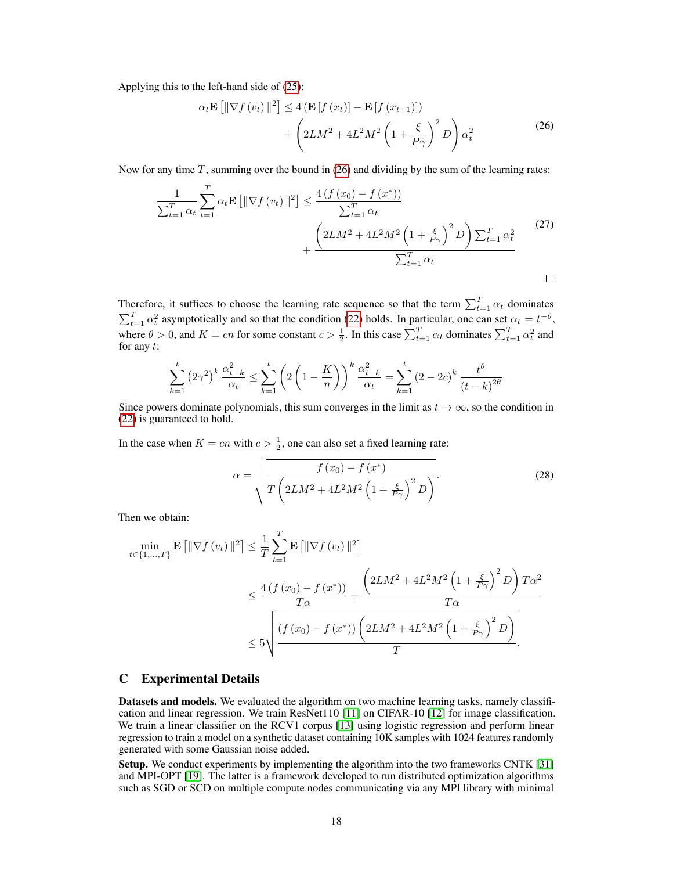Applying this to the left-hand side of [\(25\)](#page-16-0):

<span id="page-17-0"></span>
$$
\alpha_t \mathbf{E} \left[ \|\nabla f\left(v_t\right)\|^2 \right] \le 4 \left( \mathbf{E} \left[ f\left(x_t\right) \right] - \mathbf{E} \left[ f\left(x_{t+1}\right) \right] \right) + \left( 2LM^2 + 4L^2 M^2 \left( 1 + \frac{\xi}{P\gamma} \right)^2 D \right) \alpha_t^2
$$
\n(26)

Now for any time  $T$ , summing over the bound in [\(26\)](#page-17-0) and dividing by the sum of the learning rates:

$$
\frac{1}{\sum_{t=1}^{T} \alpha_t} \sum_{t=1}^{T} \alpha_t \mathbf{E} \left[ \|\nabla f(v_t)\|^2 \right] \le \frac{4 \left(f(x_0) - f(x^*)\right)}{\sum_{t=1}^{T} \alpha_t} + \frac{\left(2LM^2 + 4L^2M^2 \left(1 + \frac{\xi}{P\gamma}\right)^2 D\right) \sum_{t=1}^{T} \alpha_t^2}{\sum_{t=1}^{T} \alpha_t} \tag{27}
$$

Therefore, it suffices to choose the learning rate sequence so that the term  $\sum_{t=1}^{T} \alpha_t$  dominates  $\sum_{t=1}^{T} \alpha_t^2$  asymptotically and so that the condition [\(22\)](#page-15-1) holds. In particular, one can set  $\alpha_t = t^{-\theta}$ , where  $\theta > 0$ , and  $K = cn$  for some constant  $c > \frac{1}{2}$ . In this case  $\sum_{t=1}^{T} \alpha_t$  dominates  $\sum_{t=1}^{T} \alpha_t^2$  and for any  $t$ :

$$
\sum_{k=1}^{t} (2\gamma^2)^k \frac{\alpha_{t-k}^2}{\alpha_t} \le \sum_{k=1}^{t} \left( 2\left(1 - \frac{K}{n}\right)\right)^k \frac{\alpha_{t-k}^2}{\alpha_t} = \sum_{k=1}^{t} (2 - 2c)^k \frac{t^{\theta}}{(t - k)^{2\theta}}
$$

Since powers dominate polynomials, this sum converges in the limit as  $t \to \infty$ , so the condition in [\(22\)](#page-15-1) is guaranteed to hold.

In the case when  $K = cn$  with  $c > \frac{1}{2}$ , one can also set a fixed learning rate:

$$
\alpha = \sqrt{\frac{f(x_0) - f(x^*)}{T\left(2LM^2 + 4L^2M^2\left(1 + \frac{\xi}{P\gamma}\right)^2 D\right)}}.
$$
\n(28)

Then we obtain:

$$
\min_{t \in \{1, \ldots, T\}} \mathbf{E} \left[ \|\nabla f(v_t)\|^2 \right] \leq \frac{1}{T} \sum_{t=1}^T \mathbf{E} \left[ \|\nabla f(v_t)\|^2 \right]
$$
\n
$$
\leq \frac{4 \left( f(x_0) - f(x^*) \right)}{T\alpha} + \frac{\left(2LM^2 + 4L^2M^2 \left(1 + \frac{\xi}{P\gamma}\right)^2 D\right) T\alpha^2}{T\alpha}
$$
\n
$$
\leq 5 \sqrt{\frac{\left( f(x_0) - f(x^*) \right) \left(2LM^2 + 4L^2M^2 \left(1 + \frac{\xi}{P\gamma}\right)^2 D\right)}{T}}.
$$

### C Experimental Details

Datasets and models. We evaluated the algorithm on two machine learning tasks, namely classification and linear regression. We train ResNet110 [\[11\]](#page-9-11) on CIFAR-10 [\[12\]](#page-9-15) for image classification. We train a linear classifier on the RCV1 corpus [\[13\]](#page-9-14) using logistic regression and perform linear regression to train a model on a synthetic dataset containing 10K samples with 1024 features randomly generated with some Gaussian noise added.

Setup. We conduct experiments by implementing the algorithm into the two frameworks CNTK [\[31\]](#page-10-5) and MPI-OPT [\[19\]](#page-9-19). The latter is a framework developed to run distributed optimization algorithms such as SGD or SCD on multiple compute nodes communicating via any MPI library with minimal